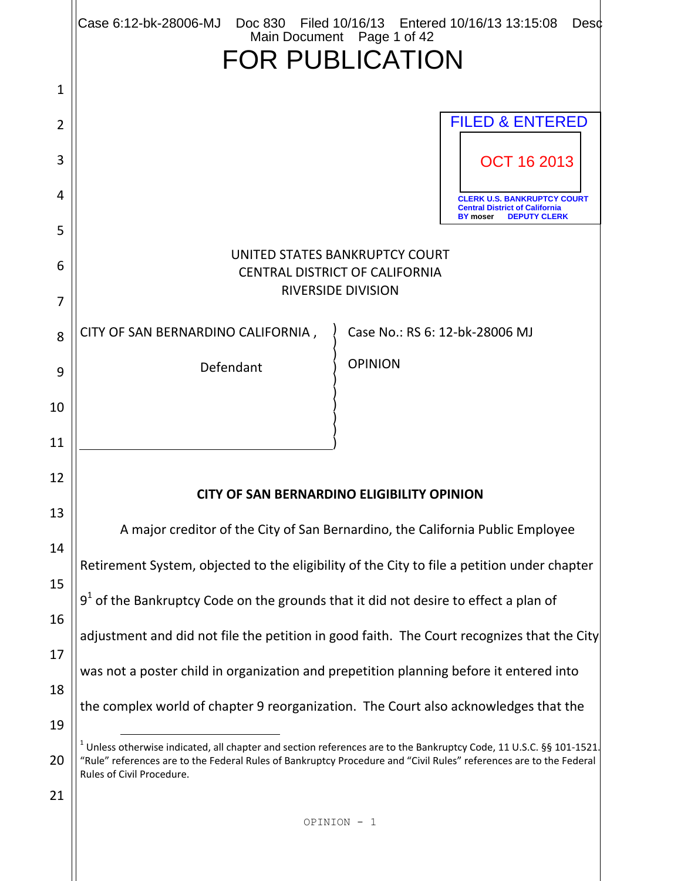|                     | Case 6:12-bk-28006-MJ<br>Doc 830 Filed 10/16/13 Entered 10/16/13 13:15:08<br><b>Desd</b><br>Main Document Page 1 of 42                                                                                                                                                   |  |  |  |  |  |  |
|---------------------|--------------------------------------------------------------------------------------------------------------------------------------------------------------------------------------------------------------------------------------------------------------------------|--|--|--|--|--|--|
|                     | <b>FOR PUBLICATION</b>                                                                                                                                                                                                                                                   |  |  |  |  |  |  |
| $\mathbf{1}$        |                                                                                                                                                                                                                                                                          |  |  |  |  |  |  |
| $\overline{2}$      | <b>FILED &amp; ENTERED</b>                                                                                                                                                                                                                                               |  |  |  |  |  |  |
| 3                   | <b>OCT 16 2013</b>                                                                                                                                                                                                                                                       |  |  |  |  |  |  |
| 4                   | <b>CLERK U.S. BANKRUPTCY COURT</b><br><b>Central District of California</b>                                                                                                                                                                                              |  |  |  |  |  |  |
| 5                   | <b>DEPUTY CLERK</b><br><b>BY</b> moser                                                                                                                                                                                                                                   |  |  |  |  |  |  |
| 6<br>$\overline{7}$ | UNITED STATES BANKRUPTCY COURT<br><b>CENTRAL DISTRICT OF CALIFORNIA</b><br><b>RIVERSIDE DIVISION</b>                                                                                                                                                                     |  |  |  |  |  |  |
|                     | CITY OF SAN BERNARDINO CALIFORNIA,<br>Case No.: RS 6: 12-bk-28006 MJ                                                                                                                                                                                                     |  |  |  |  |  |  |
| 8                   | <b>OPINION</b><br>Defendant                                                                                                                                                                                                                                              |  |  |  |  |  |  |
| 9                   |                                                                                                                                                                                                                                                                          |  |  |  |  |  |  |
| 10                  |                                                                                                                                                                                                                                                                          |  |  |  |  |  |  |
| 11                  |                                                                                                                                                                                                                                                                          |  |  |  |  |  |  |
| 12                  | <b>CITY OF SAN BERNARDINO ELIGIBILITY OPINION</b>                                                                                                                                                                                                                        |  |  |  |  |  |  |
| 13                  | A major creditor of the City of San Bernardino, the California Public Employee                                                                                                                                                                                           |  |  |  |  |  |  |
| 14                  | Retirement System, objected to the eligibility of the City to file a petition under chapter                                                                                                                                                                              |  |  |  |  |  |  |
| 15                  | $91$ of the Bankruptcy Code on the grounds that it did not desire to effect a plan of                                                                                                                                                                                    |  |  |  |  |  |  |
| 16                  | adjustment and did not file the petition in good faith. The Court recognizes that the City                                                                                                                                                                               |  |  |  |  |  |  |
| 17                  |                                                                                                                                                                                                                                                                          |  |  |  |  |  |  |
| 18                  | was not a poster child in organization and prepetition planning before it entered into                                                                                                                                                                                   |  |  |  |  |  |  |
| 19                  | the complex world of chapter 9 reorganization. The Court also acknowledges that the                                                                                                                                                                                      |  |  |  |  |  |  |
| 20                  | $1$ Unless otherwise indicated, all chapter and section references are to the Bankruptcy Code, 11 U.S.C. §§ 101-1521.<br>"Rule" references are to the Federal Rules of Bankruptcy Procedure and "Civil Rules" references are to the Federal<br>Rules of Civil Procedure. |  |  |  |  |  |  |
| 21                  |                                                                                                                                                                                                                                                                          |  |  |  |  |  |  |
|                     | OPINION - 1                                                                                                                                                                                                                                                              |  |  |  |  |  |  |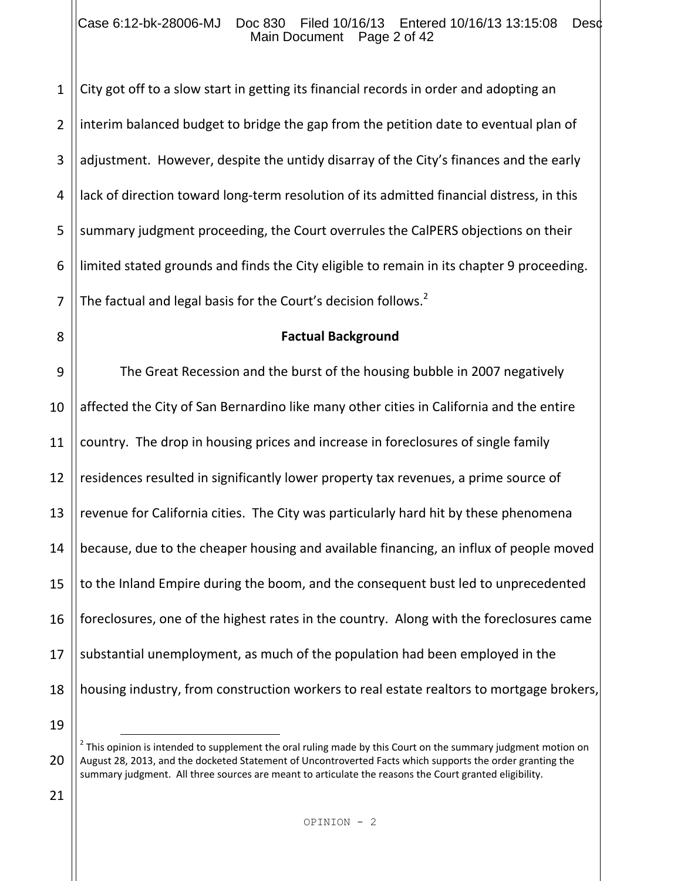#### Case 6:12-bk-28006-MJ Doc 830 Filed 10/16/13 Entered 10/16/13 13:15:08 Desc Main Document Page 2 of 42

1 2 3 4 5 6 7 City got off to a slow start in getting its financial records in order and adopting an interim balanced budget to bridge the gap from the petition date to eventual plan of adjustment. However, despite the untidy disarray of the City's finances and the early lack of direction toward long-term resolution of its admitted financial distress, in this summary judgment proceeding, the Court overrules the CalPERS objections on their limited stated grounds and finds the City eligible to remain in its chapter 9 proceeding. The factual and legal basis for the Court's decision follows.<sup>2</sup>

8

#### **Factual Background**

9 10 11 12 13 14 15 16 17 18 The Great Recession and the burst of the housing bubble in 2007 negatively affected the City of San Bernardino like many other cities in California and the entire country. The drop in housing prices and increase in foreclosures of single family residences resulted in significantly lower property tax revenues, a prime source of revenue for California cities. The City was particularly hard hit by these phenomena because, due to the cheaper housing and available financing, an influx of people moved to the Inland Empire during the boom, and the consequent bust led to unprecedented foreclosures, one of the highest rates in the country. Along with the foreclosures came substantial unemployment, as much of the population had been employed in the housing industry, from construction workers to real estate realtors to mortgage brokers,

19

J.

21

 $^2$  This opinion is intended to supplement the oral ruling made by this Court on the summary judgment motion on August 28, 2013, and the docketed Statement of Uncontroverted Facts which supports the order granting the summary judgment. All three sources are meant to articulate the reasons the Court granted eligibility.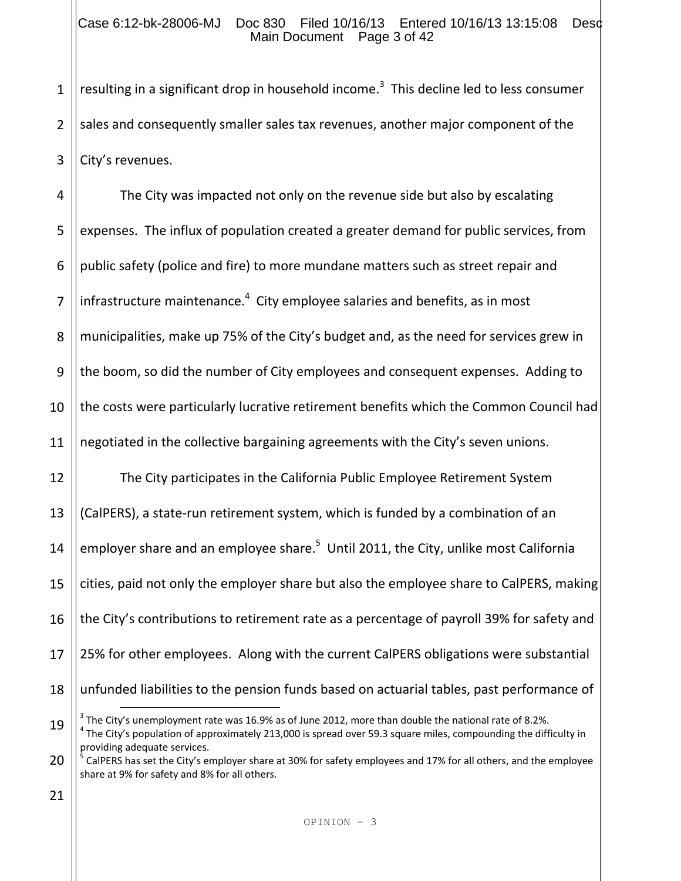#### Case 6:12-bk-28006-MJ Doc 830 Filed 10/16/13 Entered 10/16/13 13:15:08 Desc Main Document Page 3 of 42

1 2 3 resulting in a significant drop in household income.<sup>3</sup> This decline led to less consumer sales and consequently smaller sales tax revenues, another major component of the City's revenues.

4 5 6 7 8 9 10 11 12 13 14 15 16 17 18 The City was impacted not only on the revenue side but also by escalating expenses. The influx of population created a greater demand for public services, from public safety (police and fire) to more mundane matters such as street repair and infrastructure maintenance.<sup>4</sup> City employee salaries and benefits, as in most municipalities, make up 75% of the City's budget and, as the need for services grew in the boom, so did the number of City employees and consequent expenses. Adding to the costs were particularly lucrative retirement benefits which the Common Council had negotiated in the collective bargaining agreements with the City's seven unions. The City participates in the California Public Employee Retirement System (CalPERS), a state-run retirement system, which is funded by a combination of an employer share and an employee share.<sup>5</sup> Until 2011, the City, unlike most California cities, paid not only the employer share but also the employee share to CalPERS, making the City's contributions to retirement rate as a percentage of payroll 39% for safety and 25% for other employees. Along with the current CalPERS obligations were substantial unfunded liabilities to the pension funds based on actuarial tables, past performance of J.

<sup>19</sup>  $^3$  The City's unemployment rate was 16.9% as of June 2012, more than double the national rate of 8.2%.  $^4$  The City's population of approximately 213,000 is spread over 59.3 square miles, compounding the difficulty in providing adequate services.

<sup>20</sup> 5 CalPERS has set the City's employer share at 30% for safety employees and 17% for all others, and the employee share at 9% for safety and 8% for all others.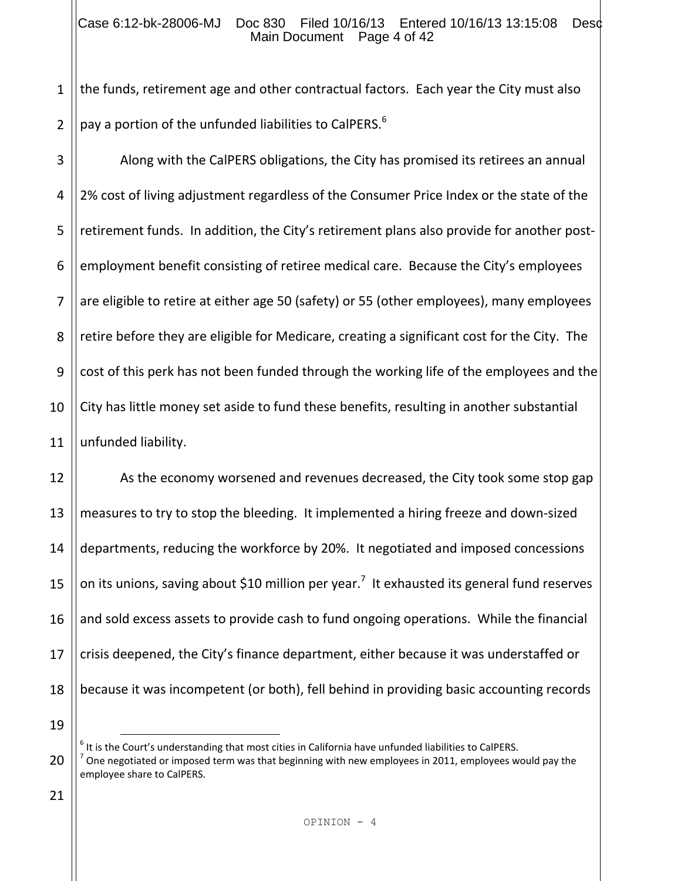#### Case 6:12-bk-28006-MJ Doc 830 Filed 10/16/13 Entered 10/16/13 13:15:08 Desc Main Document Page 4 of 42

1 2 the funds, retirement age and other contractual factors. Each year the City must also pay a portion of the unfunded liabilities to CalPERS.<sup>6</sup>

3 4 5 6 7 8 9 10 11 Along with the CalPERS obligations, the City has promised its retirees an annual 2% cost of living adjustment regardless of the Consumer Price Index or the state of the retirement funds. In addition, the City's retirement plans also provide for another postemployment benefit consisting of retiree medical care. Because the City's employees are eligible to retire at either age 50 (safety) or 55 (other employees), many employees retire before they are eligible for Medicare, creating a significant cost for the City. The cost of this perk has not been funded through the working life of the employees and the City has little money set aside to fund these benefits, resulting in another substantial unfunded liability.

12 13 14 15 16 17 18 As the economy worsened and revenues decreased, the City took some stop gap measures to try to stop the bleeding. It implemented a hiring freeze and down-sized departments, reducing the workforce by 20%. It negotiated and imposed concessions on its unions, saving about \$10 million per year.<sup>7</sup> It exhausted its general fund reserves and sold excess assets to provide cash to fund ongoing operations. While the financial crisis deepened, the City's finance department, either because it was understaffed or because it was incompetent (or both), fell behind in providing basic accounting records

19

J.

 $<sup>6</sup>$  It is the Court's understanding that most cities in California have unfunded liabilities to CalPERS.</sup>

<sup>20</sup>  $^7$  One negotiated or imposed term was that beginning with new employees in 2011, employees would pay the employee share to CalPERS.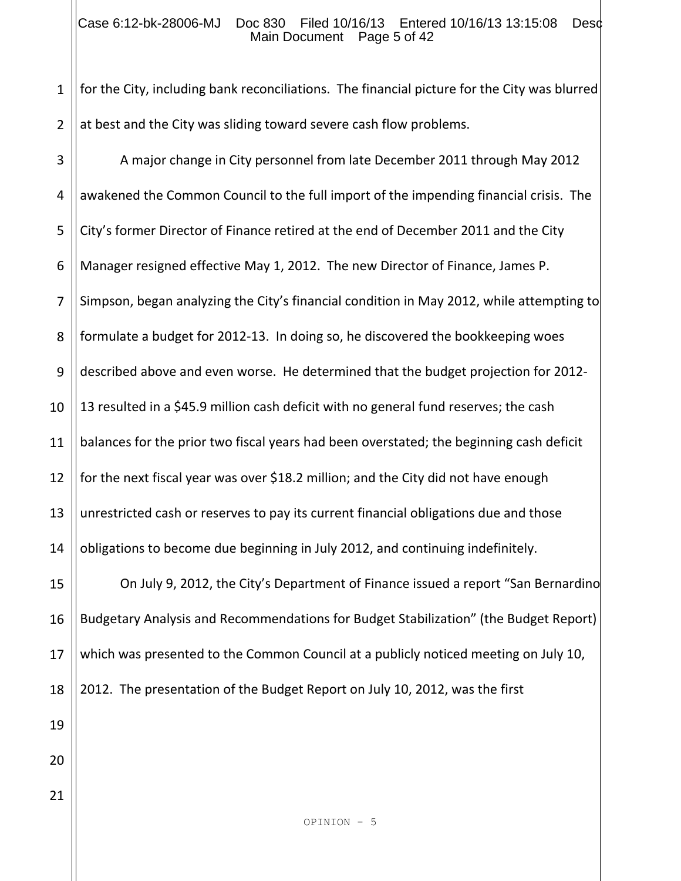### Case 6:12-bk-28006-MJ Doc 830 Filed 10/16/13 Entered 10/16/13 13:15:08 Desc Main Document Page 5 of 42

1 2 for the City, including bank reconciliations. The financial picture for the City was blurred at best and the City was sliding toward severe cash flow problems.

OPINION - 5 3 4 5 6 7 8 9 10 11 12 13 14 15 16 17 18 19 20 21 A major change in City personnel from late December 2011 through May 2012 awakened the Common Council to the full import of the impending financial crisis. The City's former Director of Finance retired at the end of December 2011 and the City Manager resigned effective May 1, 2012. The new Director of Finance, James P. Simpson, began analyzing the City's financial condition in May 2012, while attempting to formulate a budget for 2012-13. In doing so, he discovered the bookkeeping woes described above and even worse. He determined that the budget projection for 2012- 13 resulted in a \$45.9 million cash deficit with no general fund reserves; the cash balances for the prior two fiscal years had been overstated; the beginning cash deficit for the next fiscal year was over \$18.2 million; and the City did not have enough unrestricted cash or reserves to pay its current financial obligations due and those obligations to become due beginning in July 2012, and continuing indefinitely. On July 9, 2012, the City's Department of Finance issued a report "San Bernardino Budgetary Analysis and Recommendations for Budget Stabilization" (the Budget Report) which was presented to the Common Council at a publicly noticed meeting on July 10, 2012. The presentation of the Budget Report on July 10, 2012, was the first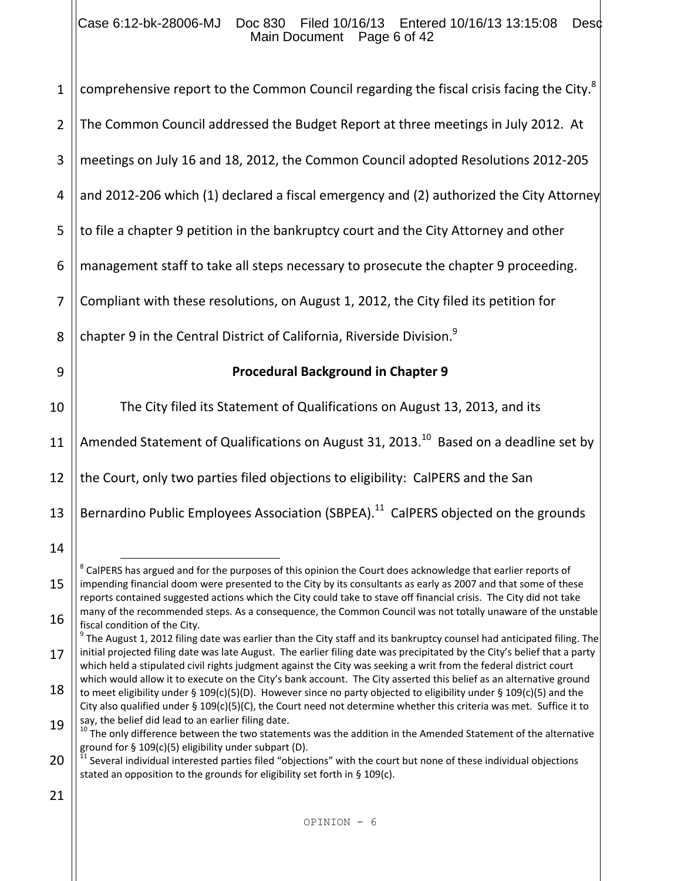### Case 6:12-bk-28006-MJ Doc 830 Filed 10/16/13 Entered 10/16/13 13:15:08 Desc Main Document Page 6 of 42

| $\mathbf{1}$   | comprehensive report to the Common Council regarding the fiscal crisis facing the City. <sup>8</sup>                                                                                                                                                                                                                                                                                 |
|----------------|--------------------------------------------------------------------------------------------------------------------------------------------------------------------------------------------------------------------------------------------------------------------------------------------------------------------------------------------------------------------------------------|
| $\overline{2}$ | The Common Council addressed the Budget Report at three meetings in July 2012. At                                                                                                                                                                                                                                                                                                    |
| 3              | meetings on July 16 and 18, 2012, the Common Council adopted Resolutions 2012-205                                                                                                                                                                                                                                                                                                    |
| 4              | and 2012-206 which (1) declared a fiscal emergency and (2) authorized the City Attorney                                                                                                                                                                                                                                                                                              |
| 5              | to file a chapter 9 petition in the bankruptcy court and the City Attorney and other                                                                                                                                                                                                                                                                                                 |
| 6              | management staff to take all steps necessary to prosecute the chapter 9 proceeding.                                                                                                                                                                                                                                                                                                  |
| 7              | Compliant with these resolutions, on August 1, 2012, the City filed its petition for                                                                                                                                                                                                                                                                                                 |
| 8              | chapter 9 in the Central District of California, Riverside Division. <sup>9</sup>                                                                                                                                                                                                                                                                                                    |
| 9              | <b>Procedural Background in Chapter 9</b>                                                                                                                                                                                                                                                                                                                                            |
| 10             | The City filed its Statement of Qualifications on August 13, 2013, and its                                                                                                                                                                                                                                                                                                           |
| 11             | Amended Statement of Qualifications on August 31, 2013. <sup>10</sup> Based on a deadline set by                                                                                                                                                                                                                                                                                     |
| 12             | the Court, only two parties filed objections to eligibility: CalPERS and the San                                                                                                                                                                                                                                                                                                     |
| 13             | Bernardino Public Employees Association (SBPEA). <sup>11</sup> CalPERS objected on the grounds                                                                                                                                                                                                                                                                                       |
| 14             |                                                                                                                                                                                                                                                                                                                                                                                      |
| 15             | ${}^{8}$ CalPERS has argued and for the purposes of this opinion the Court does acknowledge that earlier reports of<br>impending financial doom were presented to the City by its consultants as early as 2007 and that some of these<br>reports contained suggested actions which the City could take to stave off financial crisis. The City did not take                          |
| 16             | many of the recommended steps. As a consequence, the Common Council was not totally unaware of the unstable<br>fiscal condition of the City.                                                                                                                                                                                                                                         |
| 17             | <sup>9</sup> The August 1, 2012 filing date was earlier than the City staff and its bankruptcy counsel had anticipated filing. The<br>initial projected filing date was late August. The earlier filing date was precipitated by the City's belief that a party<br>which held a stipulated civil rights judgment against the City was seeking a writ from the federal district court |
| 18             | which would allow it to execute on the City's bank account. The City asserted this belief as an alternative ground<br>to meet eligibility under § 109(c)(5)(D). However since no party objected to eligibility under § 109(c)(5) and the                                                                                                                                             |
| 19             | City also qualified under § $109(c)(5)(C)$ , the Court need not determine whether this criteria was met. Suffice it to<br>say, the belief did lead to an earlier filing date.<br><sup>10</sup> The only difference between the two statements was the addition in the Amended Statement of the alternative                                                                           |
| 20             | ground for § 109(c)(5) eligibility under subpart (D).<br><sup>11</sup> Several individual interested parties filed "objections" with the court but none of these individual objections<br>stated an opposition to the grounds for eligibility set forth in § 109(c).                                                                                                                 |
| 21             |                                                                                                                                                                                                                                                                                                                                                                                      |
|                | OPINION - 6                                                                                                                                                                                                                                                                                                                                                                          |
|                |                                                                                                                                                                                                                                                                                                                                                                                      |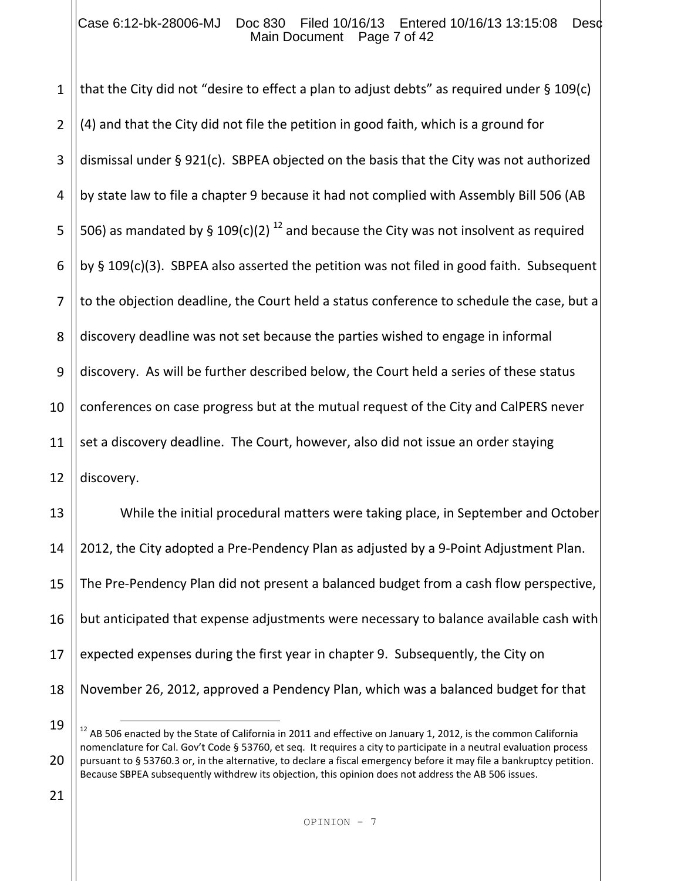#### Case 6:12-bk-28006-MJ Doc 830 Filed 10/16/13 Entered 10/16/13 13:15:08 Desc Main Document Page 7 of 42

1 2 3 4 5 6 7 8 9 10 11 12 13 14 15 16 17 that the City did not "desire to effect a plan to adjust debts" as required under § 109(c) (4) and that the City did not file the petition in good faith, which is a ground for dismissal under § 921(c). SBPEA objected on the basis that the City was not authorized by state law to file a chapter 9 because it had not complied with Assembly Bill 506 (AB 506) as mandated by § 109(c)(2)<sup>12</sup> and because the City was not insolvent as required by § 109(c)(3). SBPEA also asserted the petition was not filed in good faith. Subsequent to the objection deadline, the Court held a status conference to schedule the case, but a discovery deadline was not set because the parties wished to engage in informal discovery. As will be further described below, the Court held a series of these status conferences on case progress but at the mutual request of the City and CalPERS never set a discovery deadline. The Court, however, also did not issue an order staying discovery. While the initial procedural matters were taking place, in September and October 2012, the City adopted a Pre-Pendency Plan as adjusted by a 9-Point Adjustment Plan. The Pre-Pendency Plan did not present a balanced budget from a cash flow perspective, but anticipated that expense adjustments were necessary to balance available cash with expected expenses during the first year in chapter 9. Subsequently, the City on

- 18
- 19

i<br>L

November 26, 2012, approved a Pendency Plan, which was a balanced budget for that

21

 $12$  AB 506 enacted by the State of California in 2011 and effective on January 1, 2012, is the common California nomenclature for Cal. Gov't Code § 53760, et seq. It requires a city to participate in a neutral evaluation process pursuant to § 53760.3 or, in the alternative, to declare a fiscal emergency before it may file a bankruptcy petition. Because SBPEA subsequently withdrew its objection, this opinion does not address the AB 506 issues.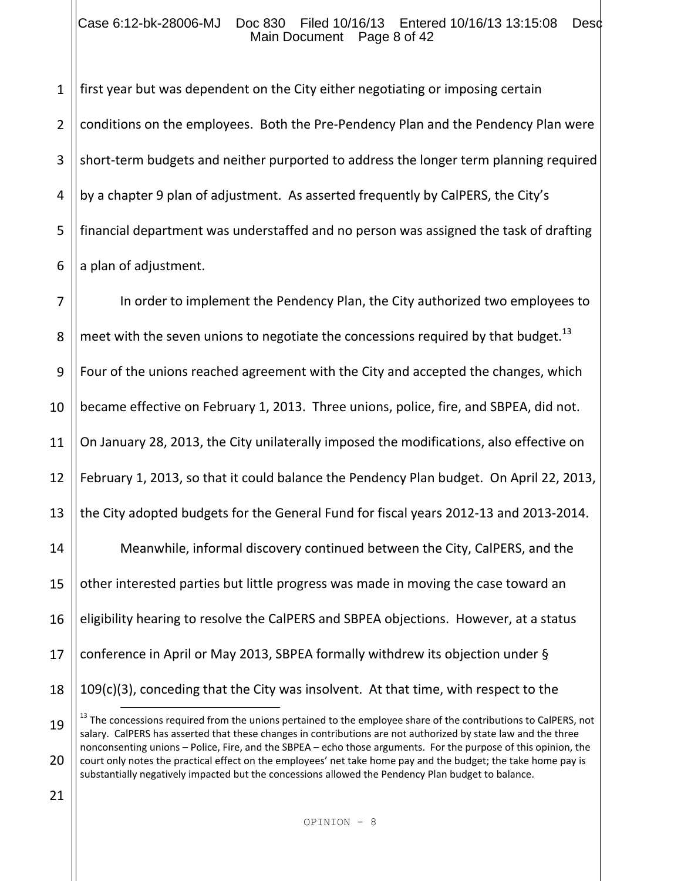#### Case 6:12-bk-28006-MJ Doc 830 Filed 10/16/13 Entered 10/16/13 13:15:08 Desc Main Document Page 8 of 42

1 2 3 4 5 6 first year but was dependent on the City either negotiating or imposing certain conditions on the employees. Both the Pre-Pendency Plan and the Pendency Plan were short-term budgets and neither purported to address the longer term planning required by a chapter 9 plan of adjustment. As asserted frequently by CalPERS, the City's financial department was understaffed and no person was assigned the task of drafting a plan of adjustment.

7 8 9 10 11 12 13 14 15 16 17 18 In order to implement the Pendency Plan, the City authorized two employees to meet with the seven unions to negotiate the concessions required by that budget.<sup>13</sup> Four of the unions reached agreement with the City and accepted the changes, which became effective on February 1, 2013. Three unions, police, fire, and SBPEA, did not. On January 28, 2013, the City unilaterally imposed the modifications, also effective on February 1, 2013, so that it could balance the Pendency Plan budget. On April 22, 2013, the City adopted budgets for the General Fund for fiscal years 2012-13 and 2013-2014. Meanwhile, informal discovery continued between the City, CalPERS, and the other interested parties but little progress was made in moving the case toward an eligibility hearing to resolve the CalPERS and SBPEA objections. However, at a status conference in April or May 2013, SBPEA formally withdrew its objection under § 109(c)(3), conceding that the City was insolvent. At that time, with respect to the J.

<sup>19</sup> 20 <sup>13</sup> The concessions required from the unions pertained to the employee share of the contributions to CalPERS, not salary. CalPERS has asserted that these changes in contributions are not authorized by state law and the three nonconsenting unions – Police, Fire, and the SBPEA – echo those arguments. For the purpose of this opinion, the court only notes the practical effect on the employees' net take home pay and the budget; the take home pay is substantially negatively impacted but the concessions allowed the Pendency Plan budget to balance.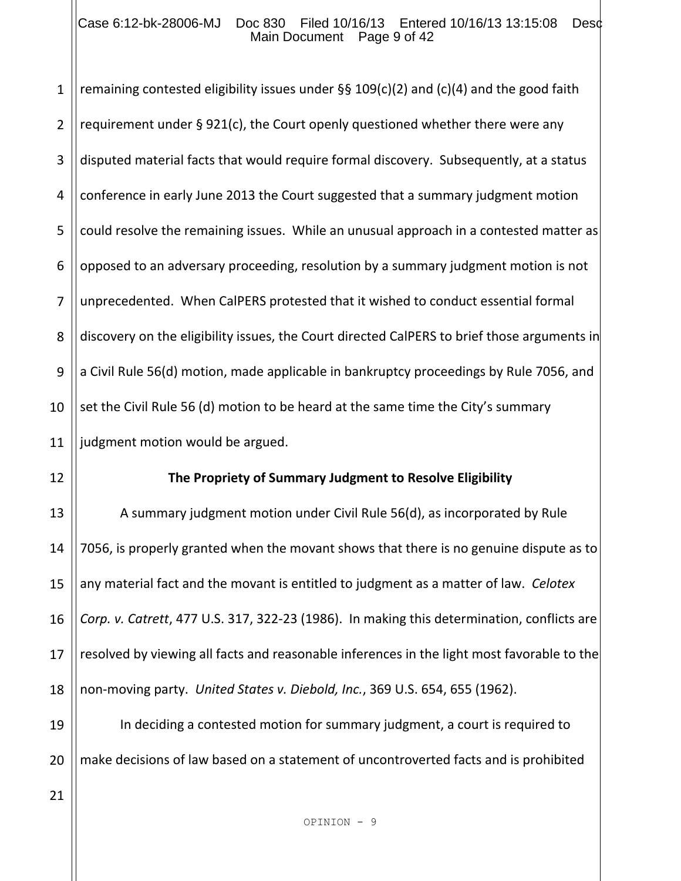#### Case 6:12-bk-28006-MJ Doc 830 Filed 10/16/13 Entered 10/16/13 13:15:08 Desc Main Document Page 9 of 42

1 2 3 4 5 6 7 8 9 10 11 remaining contested eligibility issues under  $\S$ § 109(c)(2) and (c)(4) and the good faith requirement under § 921(c), the Court openly questioned whether there were any disputed material facts that would require formal discovery. Subsequently, at a status conference in early June 2013 the Court suggested that a summary judgment motion could resolve the remaining issues. While an unusual approach in a contested matter as opposed to an adversary proceeding, resolution by a summary judgment motion is not unprecedented. When CalPERS protested that it wished to conduct essential formal discovery on the eligibility issues, the Court directed CalPERS to brief those arguments in a Civil Rule 56(d) motion, made applicable in bankruptcy proceedings by Rule 7056, and set the Civil Rule 56 (d) motion to be heard at the same time the City's summary judgment motion would be argued.

12

## **The Propriety of Summary Judgment to Resolve Eligibility**

13 14 15 16 17 18 A summary judgment motion under Civil Rule 56(d), as incorporated by Rule 7056, is properly granted when the movant shows that there is no genuine dispute as to any material fact and the movant is entitled to judgment as a matter of law. *Celotex Corp. v. Catrett*, 477 U.S. 317, 322-23 (1986). In making this determination, conflicts are resolved by viewing all facts and reasonable inferences in the light most favorable to the non-moving party. *United States v. Diebold, Inc.*, 369 U.S. 654, 655 (1962).

19 20 In deciding a contested motion for summary judgment, a court is required to make decisions of law based on a statement of uncontroverted facts and is prohibited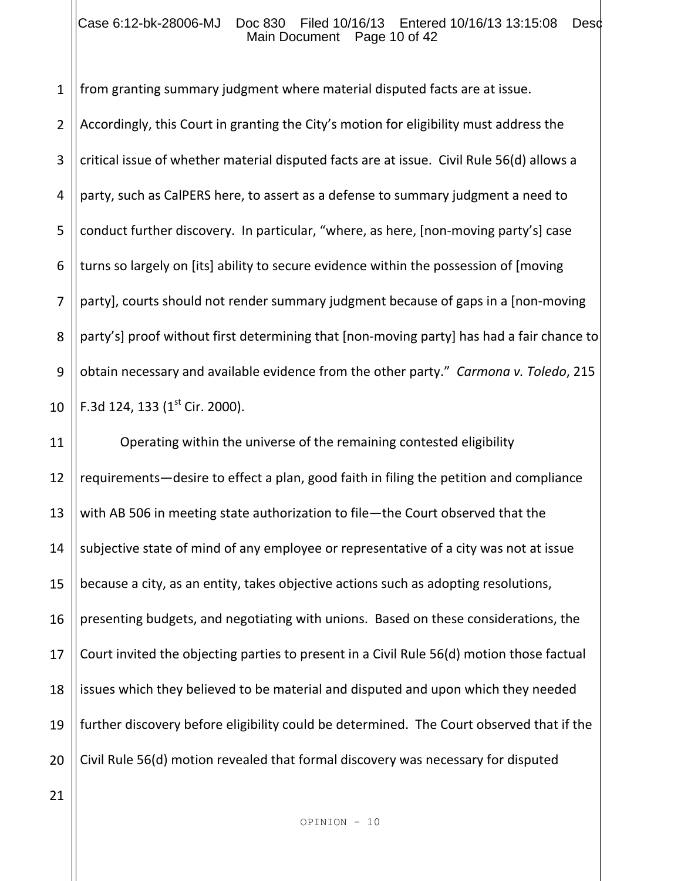#### Case 6:12-bk-28006-MJ Doc 830 Filed 10/16/13 Entered 10/16/13 13:15:08 Desd Main Document Page 10 of 42

1 from granting summary judgment where material disputed facts are at issue.

2 3 4 5 6 7 8 9 10 Accordingly, this Court in granting the City's motion for eligibility must address the critical issue of whether material disputed facts are at issue. Civil Rule 56(d) allows a party, such as CalPERS here, to assert as a defense to summary judgment a need to conduct further discovery. In particular, "where, as here, [non-moving party's] case turns so largely on [its] ability to secure evidence within the possession of [moving party], courts should not render summary judgment because of gaps in a [non-moving party's] proof without first determining that [non-moving party] has had a fair chance to obtain necessary and available evidence from the other party." *Carmona v. Toledo*, 215 F.3d 124, 133  $(1<sup>st</sup>$  Cir. 2000).

11 12 13 14 15 16 17 18 19 20 Operating within the universe of the remaining contested eligibility requirements—desire to effect a plan, good faith in filing the petition and compliance with AB 506 in meeting state authorization to file—the Court observed that the subjective state of mind of any employee or representative of a city was not at issue because a city, as an entity, takes objective actions such as adopting resolutions, presenting budgets, and negotiating with unions. Based on these considerations, the Court invited the objecting parties to present in a Civil Rule 56(d) motion those factual issues which they believed to be material and disputed and upon which they needed further discovery before eligibility could be determined. The Court observed that if the Civil Rule 56(d) motion revealed that formal discovery was necessary for disputed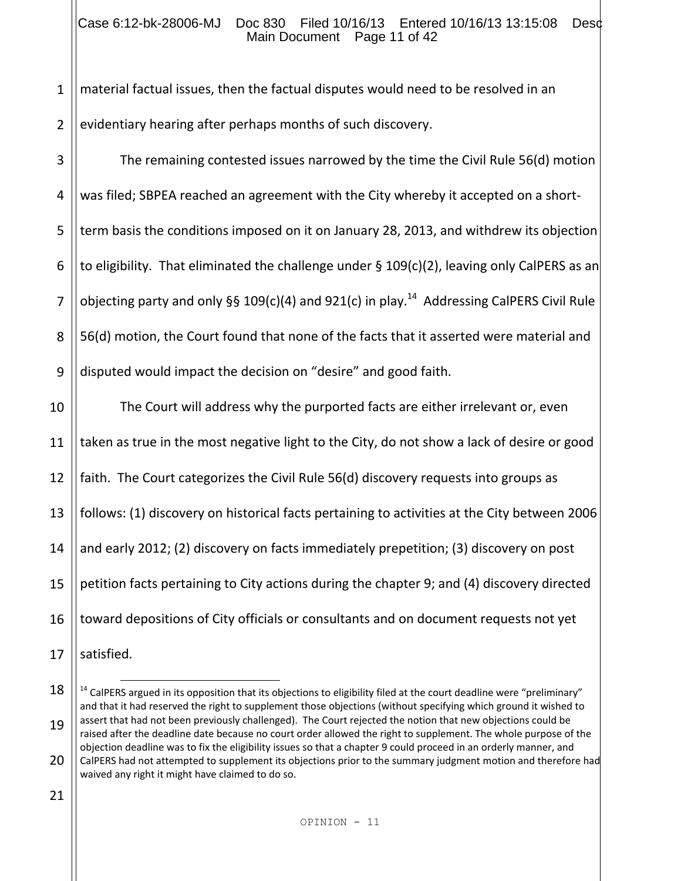#### Case 6:12-bk-28006-MJ Doc 830 Filed 10/16/13 Entered 10/16/13 13:15:08 Desc Main Document Page 11 of 42

1 2 material factual issues, then the factual disputes would need to be resolved in an evidentiary hearing after perhaps months of such discovery.

3 4 5 6 7 8 9 The remaining contested issues narrowed by the time the Civil Rule 56(d) motion was filed; SBPEA reached an agreement with the City whereby it accepted on a shortterm basis the conditions imposed on it on January 28, 2013, and withdrew its objection to eligibility. That eliminated the challenge under § 109(c)(2), leaving only CalPERS as an objecting party and only §§ 109(c)(4) and 921(c) in play.<sup>14</sup> Addressing CalPERS Civil Rule 56(d) motion, the Court found that none of the facts that it asserted were material and disputed would impact the decision on "desire" and good faith.

10 11 12 13 14 15 16 17 The Court will address why the purported facts are either irrelevant or, even taken as true in the most negative light to the City, do not show a lack of desire or good faith. The Court categorizes the Civil Rule 56(d) discovery requests into groups as follows: (1) discovery on historical facts pertaining to activities at the City between 2006 and early 2012; (2) discovery on facts immediately prepetition; (3) discovery on post petition facts pertaining to City actions during the chapter 9; and (4) discovery directed toward depositions of City officials or consultants and on document requests not yet satisfied.

21

l,

<sup>18</sup> 19 20  $14$  CalPERS argued in its opposition that its objections to eligibility filed at the court deadline were "preliminary" and that it had reserved the right to supplement those objections (without specifying which ground it wished to assert that had not been previously challenged). The Court rejected the notion that new objections could be raised after the deadline date because no court order allowed the right to supplement. The whole purpose of the objection deadline was to fix the eligibility issues so that a chapter 9 could proceed in an orderly manner, and CalPERS had not attempted to supplement its objections prior to the summary judgment motion and therefore had waived any right it might have claimed to do so.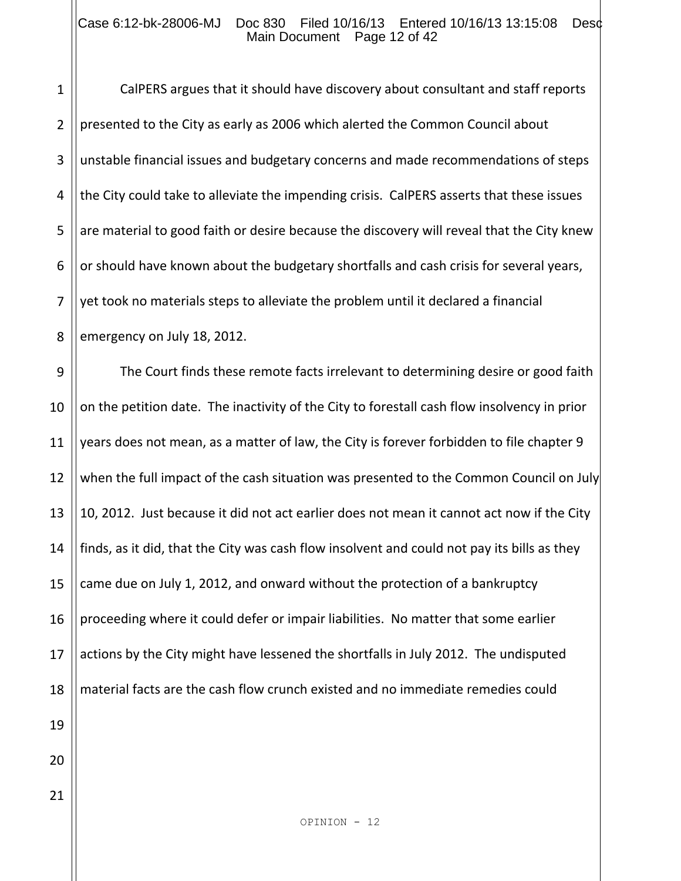#### Case 6:12-bk-28006-MJ Doc 830 Filed 10/16/13 Entered 10/16/13 13:15:08 Desd Main Document Page 12 of 42

1

21

2 3 4 5 6 7 8 CalPERS argues that it should have discovery about consultant and staff reports presented to the City as early as 2006 which alerted the Common Council about unstable financial issues and budgetary concerns and made recommendations of steps the City could take to alleviate the impending crisis. CalPERS asserts that these issues are material to good faith or desire because the discovery will reveal that the City knew or should have known about the budgetary shortfalls and cash crisis for several years, yet took no materials steps to alleviate the problem until it declared a financial emergency on July 18, 2012.

9 10 11 12 13 14 15 16 17 18 19 20 The Court finds these remote facts irrelevant to determining desire or good faith on the petition date. The inactivity of the City to forestall cash flow insolvency in prior years does not mean, as a matter of law, the City is forever forbidden to file chapter 9 when the full impact of the cash situation was presented to the Common Council on July 10, 2012. Just because it did not act earlier does not mean it cannot act now if the City finds, as it did, that the City was cash flow insolvent and could not pay its bills as they came due on July 1, 2012, and onward without the protection of a bankruptcy proceeding where it could defer or impair liabilities. No matter that some earlier actions by the City might have lessened the shortfalls in July 2012. The undisputed material facts are the cash flow crunch existed and no immediate remedies could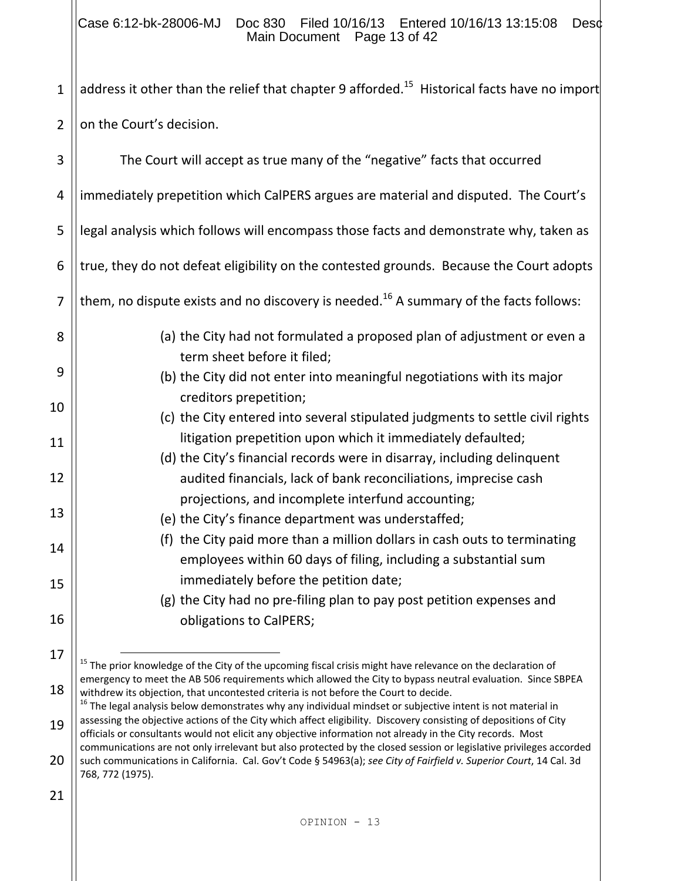### Case 6:12-bk-28006-MJ Doc 830 Filed 10/16/13 Entered 10/16/13 13:15:08 Desc Main Document Page 13 of 42

1 address it other than the relief that chapter 9 afforded.<sup>15</sup> Historical facts have no import

2 on the Court's decision.

| 3  | The Court will accept as true many of the "negative" facts that occurred                                                                                                                                                                                     |
|----|--------------------------------------------------------------------------------------------------------------------------------------------------------------------------------------------------------------------------------------------------------------|
|    |                                                                                                                                                                                                                                                              |
| 4  | immediately prepetition which CalPERS argues are material and disputed. The Court's                                                                                                                                                                          |
| 5  | legal analysis which follows will encompass those facts and demonstrate why, taken as                                                                                                                                                                        |
| 6  | true, they do not defeat eligibility on the contested grounds. Because the Court adopts                                                                                                                                                                      |
| 7  | them, no dispute exists and no discovery is needed. <sup>16</sup> A summary of the facts follows:                                                                                                                                                            |
| 8  | (a) the City had not formulated a proposed plan of adjustment or even a                                                                                                                                                                                      |
| 9  | term sheet before it filed;<br>(b) the City did not enter into meaningful negotiations with its major                                                                                                                                                        |
| 10 | creditors prepetition;                                                                                                                                                                                                                                       |
| 11 | (c) the City entered into several stipulated judgments to settle civil rights<br>litigation prepetition upon which it immediately defaulted;                                                                                                                 |
|    | (d) the City's financial records were in disarray, including delinquent                                                                                                                                                                                      |
| 12 | audited financials, lack of bank reconciliations, imprecise cash                                                                                                                                                                                             |
| 13 | projections, and incomplete interfund accounting;                                                                                                                                                                                                            |
|    | (e) the City's finance department was understaffed;                                                                                                                                                                                                          |
| 14 | (f) the City paid more than a million dollars in cash outs to terminating<br>employees within 60 days of filing, including a substantial sum                                                                                                                 |
| 15 | immediately before the petition date;                                                                                                                                                                                                                        |
|    | (g) the City had no pre-filing plan to pay post petition expenses and                                                                                                                                                                                        |
| 16 | obligations to CalPERS;                                                                                                                                                                                                                                      |
| 17 | <sup>15</sup> The prior knowledge of the City of the upcoming fiscal crisis might have relevance on the declaration of                                                                                                                                       |
| 18 | emergency to meet the AB 506 requirements which allowed the City to bypass neutral evaluation. Since SBPEA<br>withdrew its objection, that uncontested criteria is not before the Court to decide.                                                           |
|    | <sup>16</sup> The legal analysis below demonstrates why any individual mindset or subjective intent is not material in                                                                                                                                       |
| 19 | assessing the objective actions of the City which affect eligibility. Discovery consisting of depositions of City<br>officials or consultants would not elicit any objective information not already in the City records. Most                               |
| 20 | communications are not only irrelevant but also protected by the closed session or legislative privileges accorded<br>such communications in California. Cal. Gov't Code § 54963(a); see City of Fairfield v. Superior Court, 14 Cal. 3d<br>768, 772 (1975). |
| 21 |                                                                                                                                                                                                                                                              |
|    |                                                                                                                                                                                                                                                              |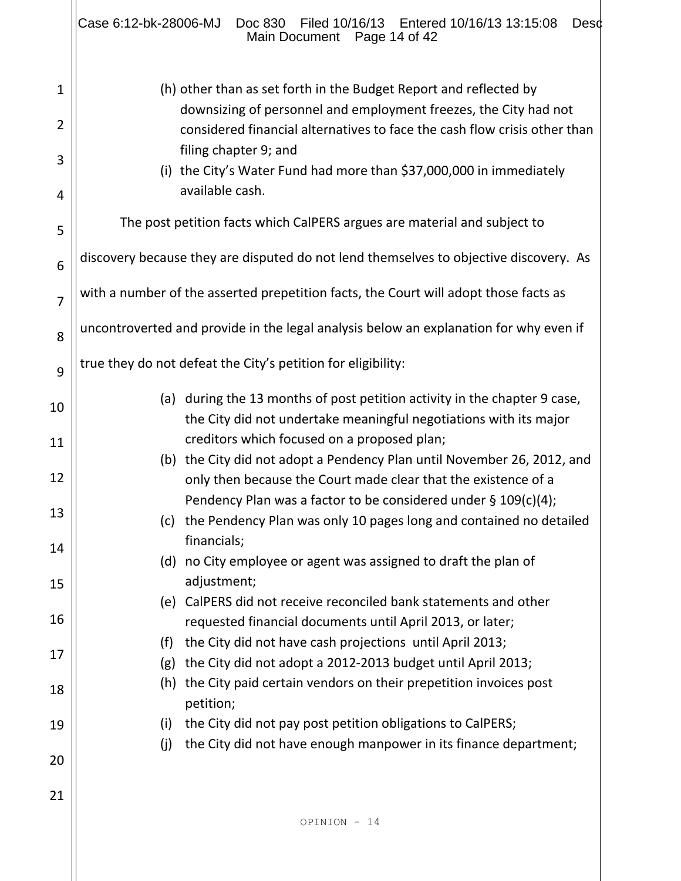|                | Case 6:12-bk-28006-MJ<br>Filed 10/16/13<br>Entered 10/16/13 13:15:08<br>Doc 830<br>Desd<br>Main Document Page 14 of 42                         |  |  |  |  |  |  |  |
|----------------|------------------------------------------------------------------------------------------------------------------------------------------------|--|--|--|--|--|--|--|
| 1              | (h) other than as set forth in the Budget Report and reflected by<br>downsizing of personnel and employment freezes, the City had not          |  |  |  |  |  |  |  |
| 2              | considered financial alternatives to face the cash flow crisis other than<br>filing chapter 9; and                                             |  |  |  |  |  |  |  |
| 3              | (i) the City's Water Fund had more than \$37,000,000 in immediately<br>available cash.                                                         |  |  |  |  |  |  |  |
| 4<br>5         | The post petition facts which CalPERS argues are material and subject to                                                                       |  |  |  |  |  |  |  |
| 6              | discovery because they are disputed do not lend themselves to objective discovery. As                                                          |  |  |  |  |  |  |  |
| $\overline{7}$ | with a number of the asserted prepetition facts, the Court will adopt those facts as                                                           |  |  |  |  |  |  |  |
| 8              | uncontroverted and provide in the legal analysis below an explanation for why even if                                                          |  |  |  |  |  |  |  |
| 9              | true they do not defeat the City's petition for eligibility:                                                                                   |  |  |  |  |  |  |  |
| 10             | (a) during the 13 months of post petition activity in the chapter 9 case,<br>the City did not undertake meaningful negotiations with its major |  |  |  |  |  |  |  |
| 11             | creditors which focused on a proposed plan;<br>(b) the City did not adopt a Pendency Plan until November 26, 2012, and                         |  |  |  |  |  |  |  |
| 12             | only then because the Court made clear that the existence of a                                                                                 |  |  |  |  |  |  |  |
| 13             | Pendency Plan was a factor to be considered under $\S$ 109(c)(4);<br>(c) the Pendency Plan was only 10 pages long and contained no detailed    |  |  |  |  |  |  |  |
| 14             | financials;<br>(d) no City employee or agent was assigned to draft the plan of                                                                 |  |  |  |  |  |  |  |
| 15             | adjustment;<br>(e) CalPERS did not receive reconciled bank statements and other                                                                |  |  |  |  |  |  |  |
| 16             | requested financial documents until April 2013, or later;                                                                                      |  |  |  |  |  |  |  |
| 17             | the City did not have cash projections until April 2013;<br>(f)<br>the City did not adopt a 2012-2013 budget until April 2013;<br>(g)          |  |  |  |  |  |  |  |
| 18             | the City paid certain vendors on their prepetition invoices post<br>(h)<br>petition;                                                           |  |  |  |  |  |  |  |
| 19             | the City did not pay post petition obligations to CalPERS;<br>(i)<br>(j)<br>the City did not have enough manpower in its finance department;   |  |  |  |  |  |  |  |
| 20             |                                                                                                                                                |  |  |  |  |  |  |  |
| 21             |                                                                                                                                                |  |  |  |  |  |  |  |
|                | OPINION - 14                                                                                                                                   |  |  |  |  |  |  |  |
|                |                                                                                                                                                |  |  |  |  |  |  |  |

 $\parallel$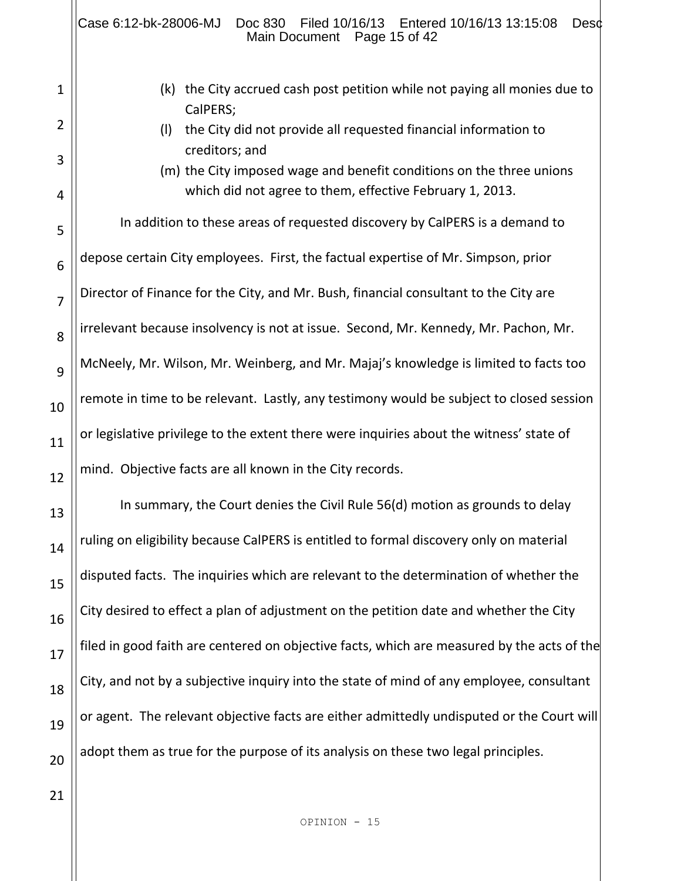|                | Case 6:12-bk-28006-MJ<br>Filed 10/16/13   Entered 10/16/13   13:15:08<br>Doc 830<br>Desc<br>Main Document Page 15 of 42                            |  |
|----------------|----------------------------------------------------------------------------------------------------------------------------------------------------|--|
| $\mathbf 1$    | the City accrued cash post petition while not paying all monies due to<br>(k)<br>CalPERS;                                                          |  |
| 2              | the City did not provide all requested financial information to<br>(1)                                                                             |  |
| 3<br>4         | creditors; and<br>(m) the City imposed wage and benefit conditions on the three unions<br>which did not agree to them, effective February 1, 2013. |  |
| 5              | In addition to these areas of requested discovery by CalPERS is a demand to                                                                        |  |
| 6              | depose certain City employees. First, the factual expertise of Mr. Simpson, prior                                                                  |  |
| $\overline{7}$ | Director of Finance for the City, and Mr. Bush, financial consultant to the City are                                                               |  |
| 8              | irrelevant because insolvency is not at issue. Second, Mr. Kennedy, Mr. Pachon, Mr.                                                                |  |
| 9              | McNeely, Mr. Wilson, Mr. Weinberg, and Mr. Majaj's knowledge is limited to facts too                                                               |  |
| 10             | remote in time to be relevant. Lastly, any testimony would be subject to closed session                                                            |  |
| 11             | or legislative privilege to the extent there were inquiries about the witness' state of                                                            |  |
| 12             | mind. Objective facts are all known in the City records.                                                                                           |  |
| 13             | In summary, the Court denies the Civil Rule 56(d) motion as grounds to delay                                                                       |  |
| 14             | ruling on eligibility because CalPERS is entitled to formal discovery only on material                                                             |  |
| 15             | disputed facts. The inquiries which are relevant to the determination of whether the                                                               |  |
| 16             | City desired to effect a plan of adjustment on the petition date and whether the City                                                              |  |
| 17             | filed in good faith are centered on objective facts, which are measured by the acts of the                                                         |  |
| 18             | City, and not by a subjective inquiry into the state of mind of any employee, consultant                                                           |  |
| 19             | or agent. The relevant objective facts are either admittedly undisputed or the Court will                                                          |  |
| 20             | adopt them as true for the purpose of its analysis on these two legal principles.                                                                  |  |
| 21             |                                                                                                                                                    |  |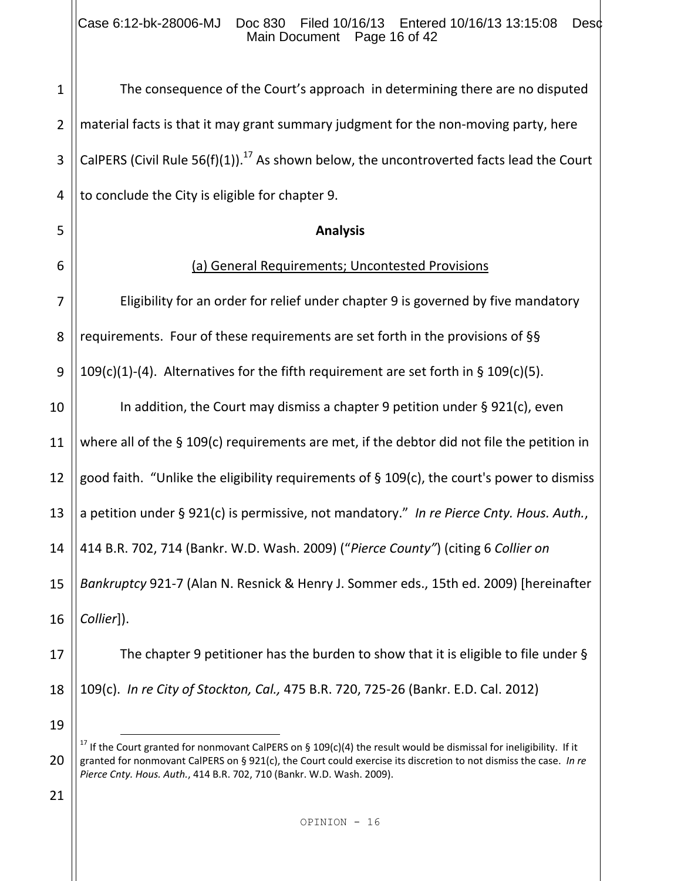Case 6:12-bk-28006-MJ Doc 830 Filed 10/16/13 Entered 10/16/13 13:15:08 Desc Main Document Page 16 of 42

1 2 3 4 5 6 7 8 9 10 11 12 13 14 15 16 17 18 19 20 The consequence of the Court's approach in determining there are no disputed material facts is that it may grant summary judgment for the non-moving party, here CalPERS (Civil Rule 56(f)(1)).<sup>17</sup> As shown below, the uncontroverted facts lead the Court to conclude the City is eligible for chapter 9. **Analysis** (a) General Requirements; Uncontested Provisions Eligibility for an order for relief under chapter 9 is governed by five mandatory requirements. Four of these requirements are set forth in the provisions of §§ 109(c)(1)-(4). Alternatives for the fifth requirement are set forth in § 109(c)(5). In addition, the Court may dismiss a chapter 9 petition under § 921(c), even where all of the § 109(c) requirements are met, if the debtor did not file the petition in good faith. "Unlike the eligibility requirements of § 109(c), the court's power to dismiss a petition under § 921(c) is permissive, not mandatory." *In re Pierce Cnty. Hous. Auth.*, 414 B.R. 702, 714 (Bankr. W.D. Wash. 2009) ("*Pierce County"*) (citing 6 *Collier on Bankruptcy* 921-7 (Alan N. Resnick & Henry J. Sommer eds., 15th ed. 2009) [hereinafter *Collier*]). The chapter 9 petitioner has the burden to show that it is eligible to file under § 109(c). *In re City of Stockton, Cal.,* 475 B.R. 720, 725-26 (Bankr. E.D. Cal. 2012) J. <sup>17</sup> If the Court granted for nonmovant CalPERS on § 109(c)(4) the result would be dismissal for ineligibility. If it granted for nonmovant CalPERS on § 921(c), the Court could exercise its discretion to not dismiss the case. *In re Pierce Cnty. Hous. Auth.*, 414 B.R. 702, 710 (Bankr. W.D. Wash. 2009).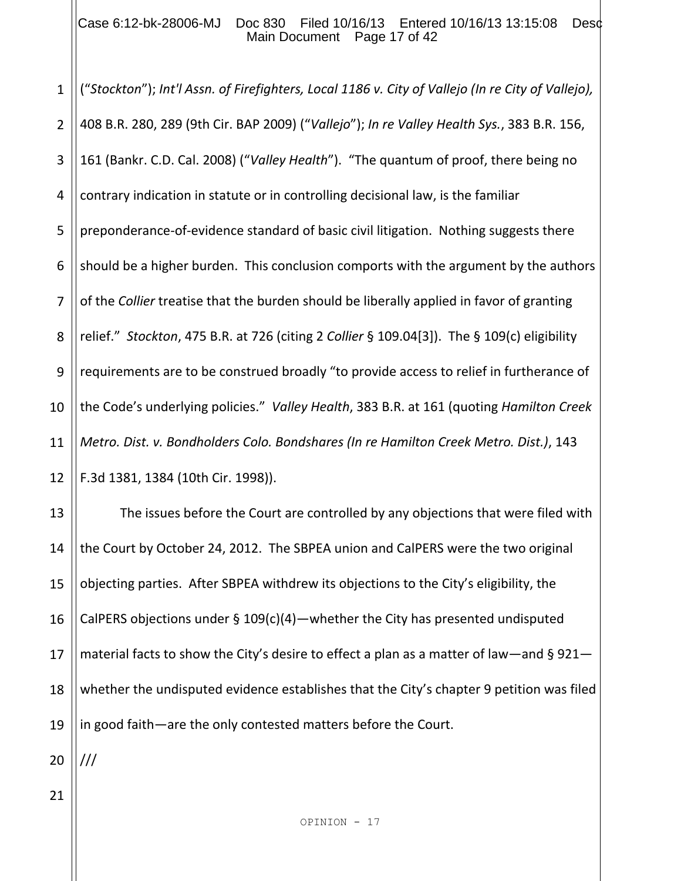#### Case 6:12-bk-28006-MJ Doc 830 Filed 10/16/13 Entered 10/16/13 13:15:08 Desd Main Document Page 17 of 42

1 2 3 4 5 6 7 8 9 10 11 12 ("*Stockton*"); *Int'l Assn. of Firefighters, Local 1186 v. City of Vallejo (In re City of Vallejo),* 408 B.R. 280, 289 (9th Cir. BAP 2009) ("*Vallejo*"); *In re Valley Health Sys.*, 383 B.R. 156, 161 (Bankr. C.D. Cal. 2008) ("*Valley Health*"). "The quantum of proof, there being no contrary indication in statute or in controlling decisional law, is the familiar preponderance-of-evidence standard of basic civil litigation. Nothing suggests there should be a higher burden. This conclusion comports with the argument by the authors of the *Collier* treatise that the burden should be liberally applied in favor of granting relief." *Stockton*, 475 B.R. at 726 (citing 2 *Collier* § 109.04[3]). The § 109(c) eligibility requirements are to be construed broadly "to provide access to relief in furtherance of the Code's underlying policies." *Valley Health*, 383 B.R. at 161 (quoting *Hamilton Creek Metro. Dist. v. Bondholders Colo. Bondshares (In re Hamilton Creek Metro. Dist.)*, 143 F.3d 1381, 1384 (10th Cir. 1998)).

13 14 15 16 17 18 19 The issues before the Court are controlled by any objections that were filed with the Court by October 24, 2012. The SBPEA union and CalPERS were the two original objecting parties. After SBPEA withdrew its objections to the City's eligibility, the CalPERS objections under § 109(c)(4)—whether the City has presented undisputed material facts to show the City's desire to effect a plan as a matter of law—and § 921 whether the undisputed evidence establishes that the City's chapter 9 petition was filed in good faith—are the only contested matters before the Court.

20 ///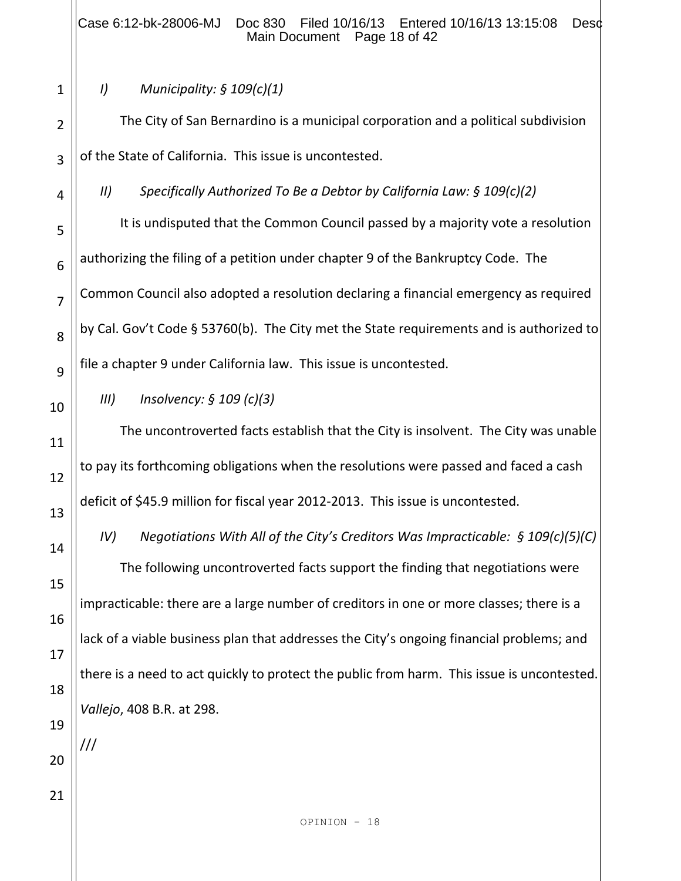## *I) Municipality: § 109(c)(1)*

The City of San Bernardino is a municipal corporation and a political subdivision of the State of California. This issue is uncontested.

*II) Specifically Authorized To Be a Debtor by California Law: § 109(c)(2)* 

It is undisputed that the Common Council passed by a majority vote a resolution authorizing the filing of a petition under chapter 9 of the Bankruptcy Code. The Common Council also adopted a resolution declaring a financial emergency as required by Cal. Gov't Code § 53760(b). The City met the State requirements and is authorized to file a chapter 9 under California law. This issue is uncontested.

## *III) Insolvency: § 109 (c)(3)*

The uncontroverted facts establish that the City is insolvent. The City was unable to pay its forthcoming obligations when the resolutions were passed and faced a cash deficit of \$45.9 million for fiscal year 2012-2013. This issue is uncontested.

*IV) Negotiations With All of the City's Creditors Was Impracticable: § 109(c)(5)(C)* The following uncontroverted facts support the finding that negotiations were impracticable: there are a large number of creditors in one or more classes; there is a lack of a viable business plan that addresses the City's ongoing financial problems; and there is a need to act quickly to protect the public from harm. This issue is uncontested. *Vallejo*, 408 B.R. at 298.

OPINION - 18

2 3

4

5

6

7

8

9

10

11

12

13

14

15

16

17

18

19

20

///

21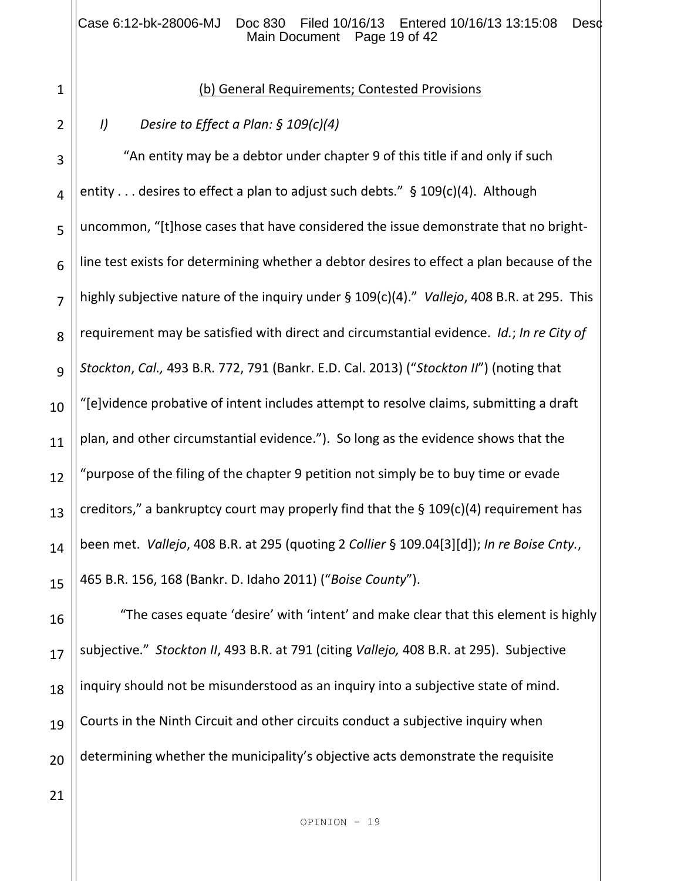#### Case 6:12-bk-28006-MJ Doc 830 Filed 10/16/13 Entered 10/16/13 13:15:08 Desd Main Document Page 19 of 42

## (b) General Requirements; Contested Provisions

## *I) Desire to Effect a Plan: § 109(c)(4)*

3 4 5 6 7 8 9 10 11 12 13 14 15 "An entity may be a debtor under chapter 9 of this title if and only if such entity . . . desires to effect a plan to adjust such debts." § 109(c)(4). Although uncommon, "[t]hose cases that have considered the issue demonstrate that no brightline test exists for determining whether a debtor desires to effect a plan because of the highly subjective nature of the inquiry under § 109(c)(4)." *Vallejo*, 408 B.R. at 295. This requirement may be satisfied with direct and circumstantial evidence. *Id.*; *In re City of Stockton*, *Cal.,* 493 B.R. 772, 791 (Bankr. E.D. Cal. 2013) ("*Stockton II*") (noting that "[e]vidence probative of intent includes attempt to resolve claims, submitting a draft plan, and other circumstantial evidence."). So long as the evidence shows that the "purpose of the filing of the chapter 9 petition not simply be to buy time or evade creditors," a bankruptcy court may properly find that the  $\S$  109(c)(4) requirement has been met. *Vallejo*, 408 B.R. at 295 (quoting 2 *Collier* § 109.04[3][d]); *In re Boise Cnty.*, 465 B.R. 156, 168 (Bankr. D. Idaho 2011) ("*Boise County*").

16 17 18 19 20 "The cases equate 'desire' with 'intent' and make clear that this element is highly subjective." *Stockton II*, 493 B.R. at 791 (citing *Vallejo,* 408 B.R. at 295). Subjective inquiry should not be misunderstood as an inquiry into a subjective state of mind. Courts in the Ninth Circuit and other circuits conduct a subjective inquiry when determining whether the municipality's objective acts demonstrate the requisite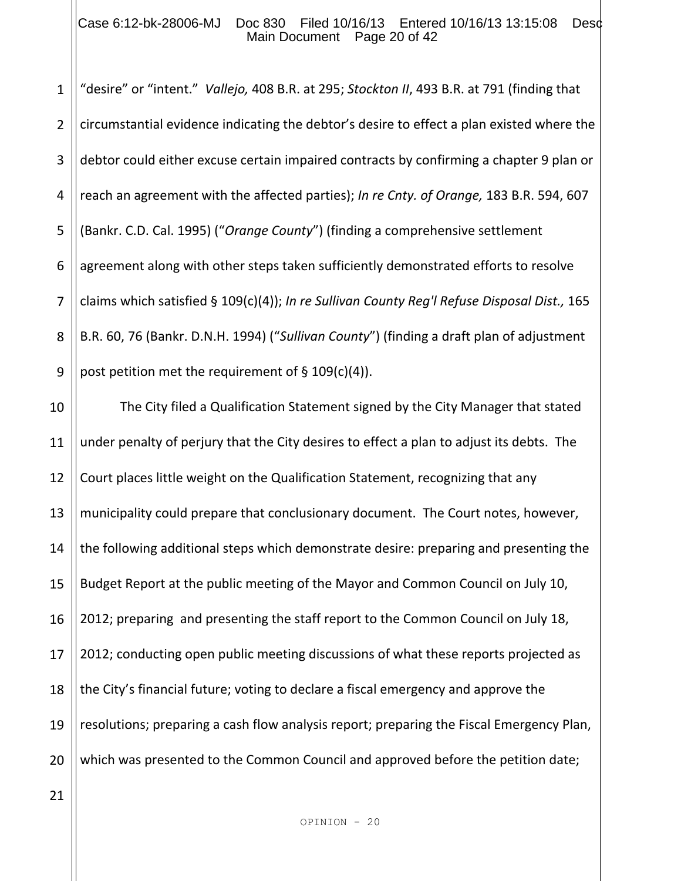#### Case 6:12-bk-28006-MJ Doc 830 Filed 10/16/13 Entered 10/16/13 13:15:08 Desd Main Document Page 20 of 42

1 2 3 4 5 6 7 8 9 "desire" or "intent." *Vallejo,* 408 B.R. at 295; *Stockton II*, 493 B.R. at 791 (finding that circumstantial evidence indicating the debtor's desire to effect a plan existed where the debtor could either excuse certain impaired contracts by confirming a chapter 9 plan or reach an agreement with the affected parties); *In re Cnty. of Orange,* 183 B.R. 594, 607 (Bankr. C.D. Cal. 1995) ("*Orange County*") (finding a comprehensive settlement agreement along with other steps taken sufficiently demonstrated efforts to resolve claims which satisfied § 109(c)(4)); *In re Sullivan County Reg'l Refuse Disposal Dist.,* 165 B.R. 60, 76 (Bankr. D.N.H. 1994) ("*Sullivan County*") (finding a draft plan of adjustment post petition met the requirement of § 109(c)(4)).

10 11 12 13 14 15 16 17 18 19 20 The City filed a Qualification Statement signed by the City Manager that stated under penalty of perjury that the City desires to effect a plan to adjust its debts. The Court places little weight on the Qualification Statement, recognizing that any municipality could prepare that conclusionary document. The Court notes, however, the following additional steps which demonstrate desire: preparing and presenting the Budget Report at the public meeting of the Mayor and Common Council on July 10, 2012; preparing and presenting the staff report to the Common Council on July 18, 2012; conducting open public meeting discussions of what these reports projected as the City's financial future; voting to declare a fiscal emergency and approve the resolutions; preparing a cash flow analysis report; preparing the Fiscal Emergency Plan, which was presented to the Common Council and approved before the petition date;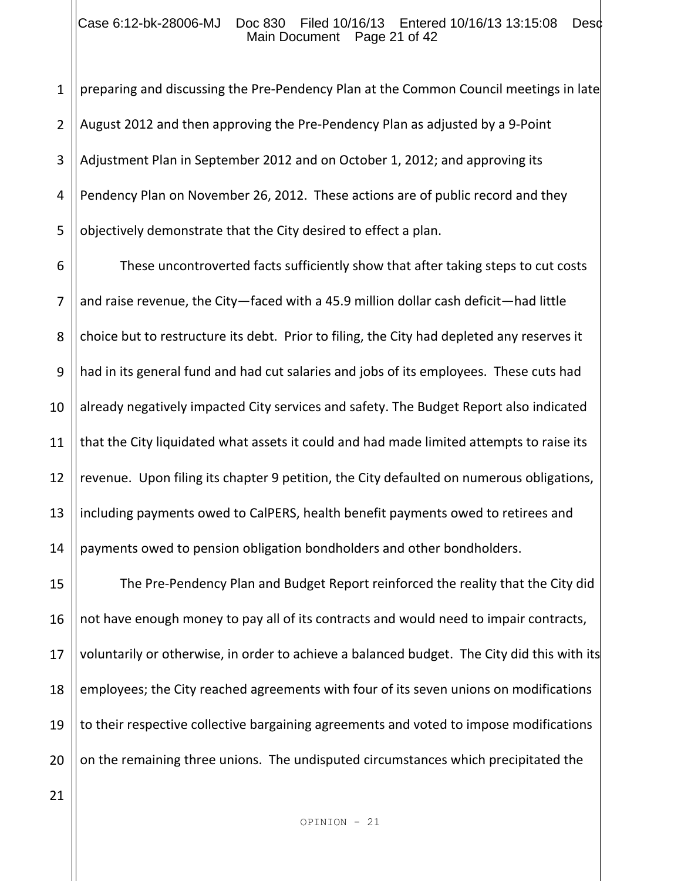#### Case 6:12-bk-28006-MJ Doc 830 Filed 10/16/13 Entered 10/16/13 13:15:08 Desc Main Document Page 21 of 42

1 2 3 4 5 preparing and discussing the Pre-Pendency Plan at the Common Council meetings in late August 2012 and then approving the Pre-Pendency Plan as adjusted by a 9-Point Adjustment Plan in September 2012 and on October 1, 2012; and approving its Pendency Plan on November 26, 2012. These actions are of public record and they objectively demonstrate that the City desired to effect a plan.

6 7 8 9 10 11 12 13 14 These uncontroverted facts sufficiently show that after taking steps to cut costs and raise revenue, the City—faced with a 45.9 million dollar cash deficit—had little choice but to restructure its debt. Prior to filing, the City had depleted any reserves it had in its general fund and had cut salaries and jobs of its employees. These cuts had already negatively impacted City services and safety. The Budget Report also indicated that the City liquidated what assets it could and had made limited attempts to raise its revenue. Upon filing its chapter 9 petition, the City defaulted on numerous obligations, including payments owed to CalPERS, health benefit payments owed to retirees and payments owed to pension obligation bondholders and other bondholders.

15 16 17 18 19 20 The Pre-Pendency Plan and Budget Report reinforced the reality that the City did not have enough money to pay all of its contracts and would need to impair contracts, voluntarily or otherwise, in order to achieve a balanced budget. The City did this with its employees; the City reached agreements with four of its seven unions on modifications to their respective collective bargaining agreements and voted to impose modifications on the remaining three unions. The undisputed circumstances which precipitated the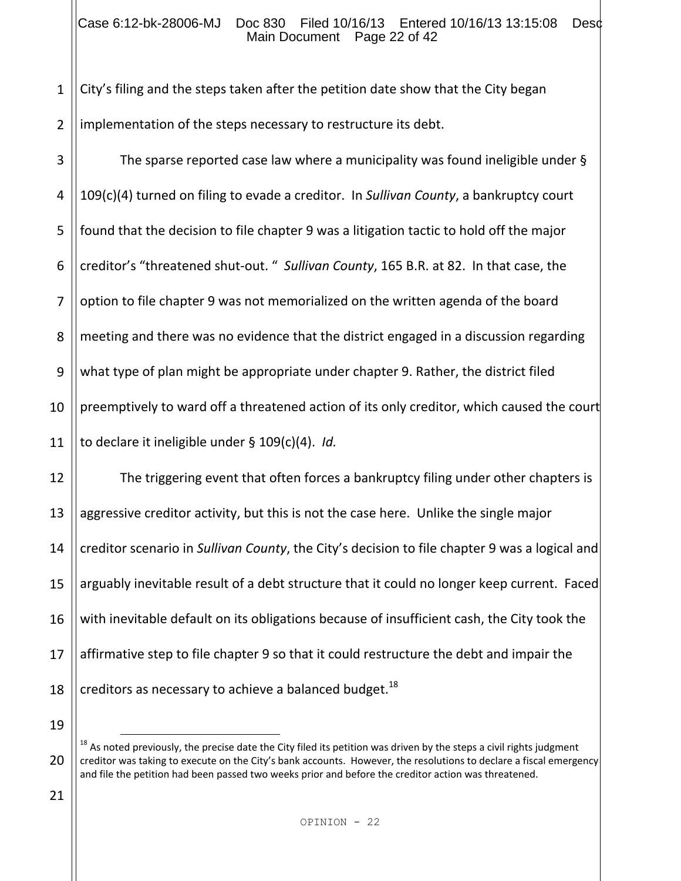#### Case 6:12-bk-28006-MJ Doc 830 Filed 10/16/13 Entered 10/16/13 13:15:08 Desc Main Document Page 22 of 42

1 2 City's filing and the steps taken after the petition date show that the City began implementation of the steps necessary to restructure its debt.

3 4 5 6 7 8 9 10 11 The sparse reported case law where a municipality was found ineligible under § 109(c)(4) turned on filing to evade a creditor. In *Sullivan County*, a bankruptcy court found that the decision to file chapter 9 was a litigation tactic to hold off the major creditor's "threatened shut-out. " *Sullivan County*, 165 B.R. at 82. In that case, the option to file chapter 9 was not memorialized on the written agenda of the board meeting and there was no evidence that the district engaged in a discussion regarding what type of plan might be appropriate under chapter 9. Rather, the district filed preemptively to ward off a threatened action of its only creditor, which caused the court to declare it ineligible under § 109(c)(4). *Id.*

12 13 14 15 16 17 18 The triggering event that often forces a bankruptcy filing under other chapters is aggressive creditor activity, but this is not the case here. Unlike the single major creditor scenario in *Sullivan County*, the City's decision to file chapter 9 was a logical and arguably inevitable result of a debt structure that it could no longer keep current. Faced with inevitable default on its obligations because of insufficient cash, the City took the affirmative step to file chapter 9 so that it could restructure the debt and impair the creditors as necessary to achieve a balanced budget.<sup>18</sup>

19

J.

21

 $18$  As noted previously, the precise date the City filed its petition was driven by the steps a civil rights judgment creditor was taking to execute on the City's bank accounts. However, the resolutions to declare a fiscal emergency and file the petition had been passed two weeks prior and before the creditor action was threatened.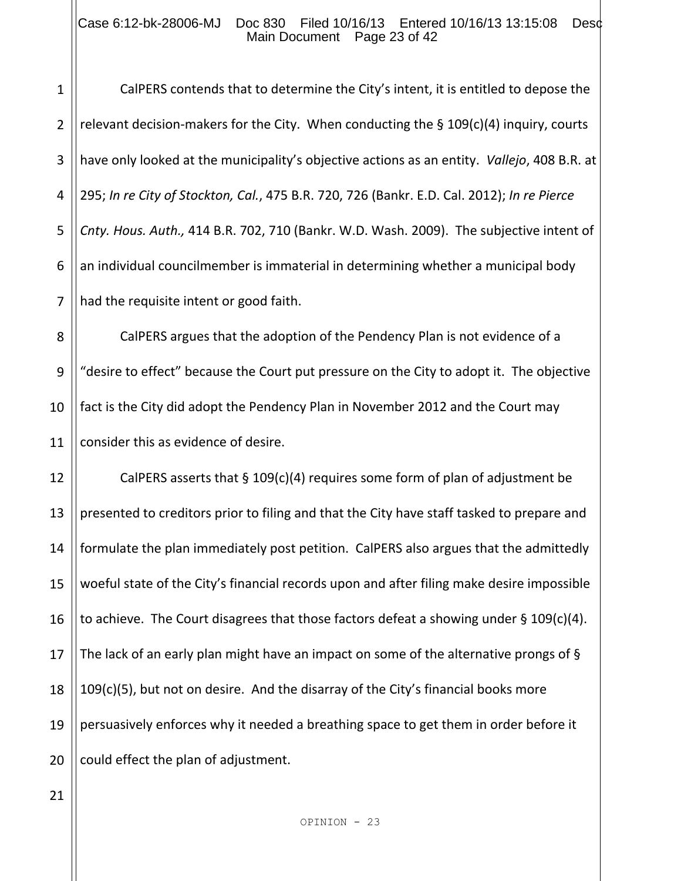#### Case 6:12-bk-28006-MJ Doc 830 Filed 10/16/13 Entered 10/16/13 13:15:08 Desd Main Document Page 23 of 42

2 3 4 5 6 7 CalPERS contends that to determine the City's intent, it is entitled to depose the relevant decision-makers for the City. When conducting the § 109(c)(4) inquiry, courts have only looked at the municipality's objective actions as an entity. *Vallejo*, 408 B.R. at 295; *In re City of Stockton, Cal.*, 475 B.R. 720, 726 (Bankr. E.D. Cal. 2012); *In re Pierce Cnty. Hous. Auth.,* 414 B.R. 702, 710 (Bankr. W.D. Wash. 2009). The subjective intent of an individual councilmember is immaterial in determining whether a municipal body had the requisite intent or good faith.

8 9 10 11 CalPERS argues that the adoption of the Pendency Plan is not evidence of a "desire to effect" because the Court put pressure on the City to adopt it. The objective fact is the City did adopt the Pendency Plan in November 2012 and the Court may consider this as evidence of desire.

12 13 14 15 16 17 18 19 20 CalPERS asserts that § 109(c)(4) requires some form of plan of adjustment be presented to creditors prior to filing and that the City have staff tasked to prepare and formulate the plan immediately post petition. CalPERS also argues that the admittedly woeful state of the City's financial records upon and after filing make desire impossible to achieve. The Court disagrees that those factors defeat a showing under § 109(c)(4). The lack of an early plan might have an impact on some of the alternative prongs of § 109(c)(5), but not on desire. And the disarray of the City's financial books more persuasively enforces why it needed a breathing space to get them in order before it could effect the plan of adjustment.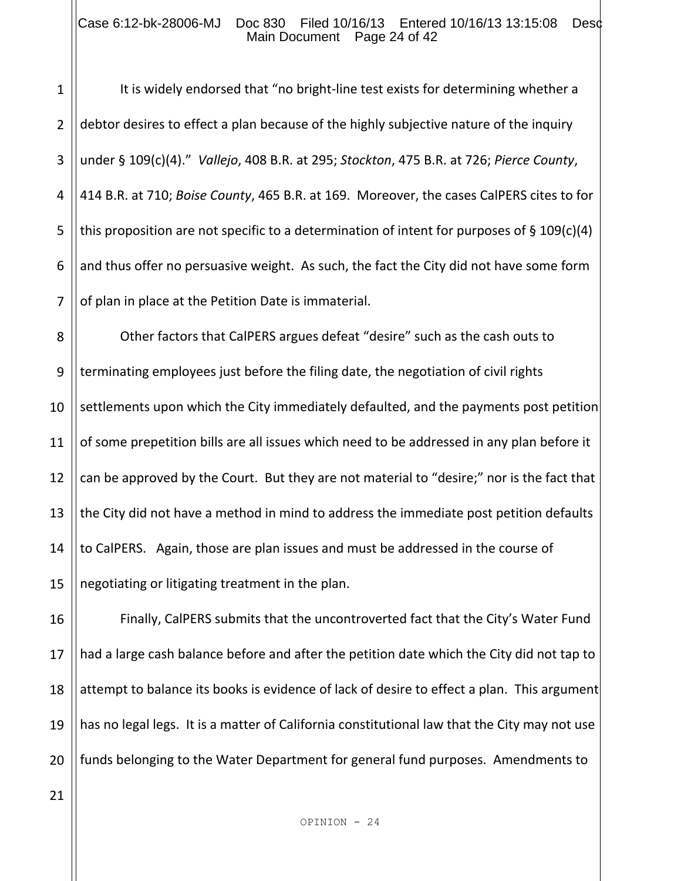#### Case 6:12-bk-28006-MJ Doc 830 Filed 10/16/13 Entered 10/16/13 13:15:08 Desd Main Document Page 24 of 42

1

2 3 4 5 6 7 It is widely endorsed that "no bright-line test exists for determining whether a debtor desires to effect a plan because of the highly subjective nature of the inquiry under § 109(c)(4)." *Vallejo*, 408 B.R. at 295; *Stockton*, 475 B.R. at 726; *Pierce County*, 414 B.R. at 710; *Boise County*, 465 B.R. at 169. Moreover, the cases CalPERS cites to for this proposition are not specific to a determination of intent for purposes of  $\S 109(c)(4)$ and thus offer no persuasive weight. As such, the fact the City did not have some form of plan in place at the Petition Date is immaterial.

8 9 10 11 12 13 14 15 Other factors that CalPERS argues defeat "desire" such as the cash outs to terminating employees just before the filing date, the negotiation of civil rights settlements upon which the City immediately defaulted, and the payments post petition of some prepetition bills are all issues which need to be addressed in any plan before it can be approved by the Court. But they are not material to "desire;" nor is the fact that the City did not have a method in mind to address the immediate post petition defaults to CalPERS. Again, those are plan issues and must be addressed in the course of negotiating or litigating treatment in the plan.

16 17 18 19 20 Finally, CalPERS submits that the uncontroverted fact that the City's Water Fund had a large cash balance before and after the petition date which the City did not tap to attempt to balance its books is evidence of lack of desire to effect a plan. This argument has no legal legs. It is a matter of California constitutional law that the City may not use funds belonging to the Water Department for general fund purposes. Amendments to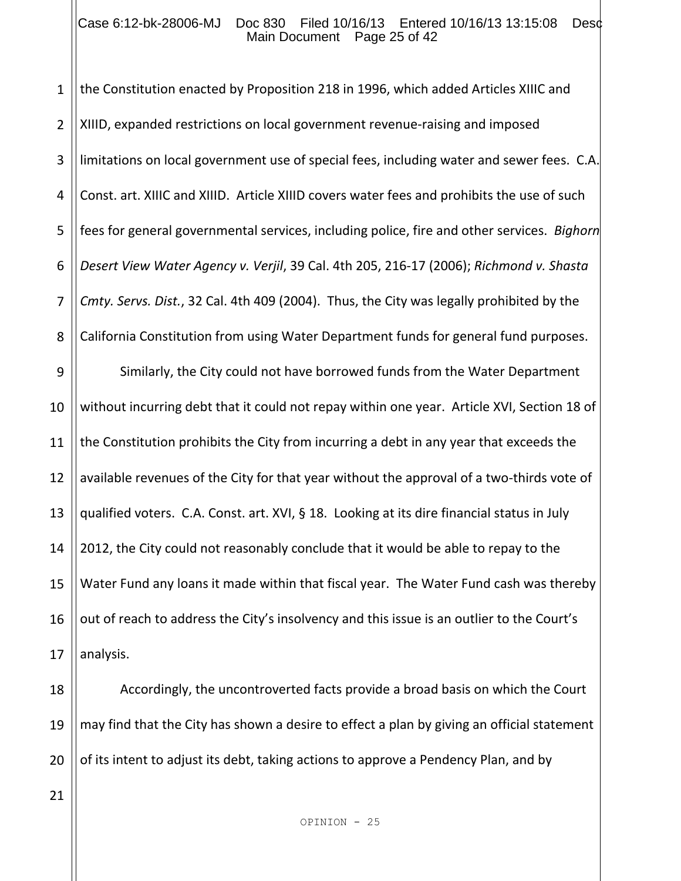#### Case 6:12-bk-28006-MJ Doc 830 Filed 10/16/13 Entered 10/16/13 13:15:08 Desc Main Document Page 25 of 42

1 2 3 4 5 6 7 8 9 10 11 12 13 14 15 16 17 the Constitution enacted by Proposition 218 in 1996, which added Articles XIIIC and XIIID, expanded restrictions on local government revenue-raising and imposed limitations on local government use of special fees, including water and sewer fees. C.A. Const. art. XIIIC and XIIID. Article XIIID covers water fees and prohibits the use of such fees for general governmental services, including police, fire and other services. *Bighorn Desert View Water Agency v. Verjil*, 39 Cal. 4th 205, 216-17 (2006); *Richmond v. Shasta Cmty. Servs. Dist.*, 32 Cal. 4th 409 (2004). Thus, the City was legally prohibited by the California Constitution from using Water Department funds for general fund purposes. Similarly, the City could not have borrowed funds from the Water Department without incurring debt that it could not repay within one year. Article XVI, Section 18 of the Constitution prohibits the City from incurring a debt in any year that exceeds the available revenues of the City for that year without the approval of a two-thirds vote of qualified voters. C.A. Const. art. XVI, § 18. Looking at its dire financial status in July 2012, the City could not reasonably conclude that it would be able to repay to the Water Fund any loans it made within that fiscal year. The Water Fund cash was thereby out of reach to address the City's insolvency and this issue is an outlier to the Court's analysis.

18 19 20 Accordingly, the uncontroverted facts provide a broad basis on which the Court may find that the City has shown a desire to effect a plan by giving an official statement of its intent to adjust its debt, taking actions to approve a Pendency Plan, and by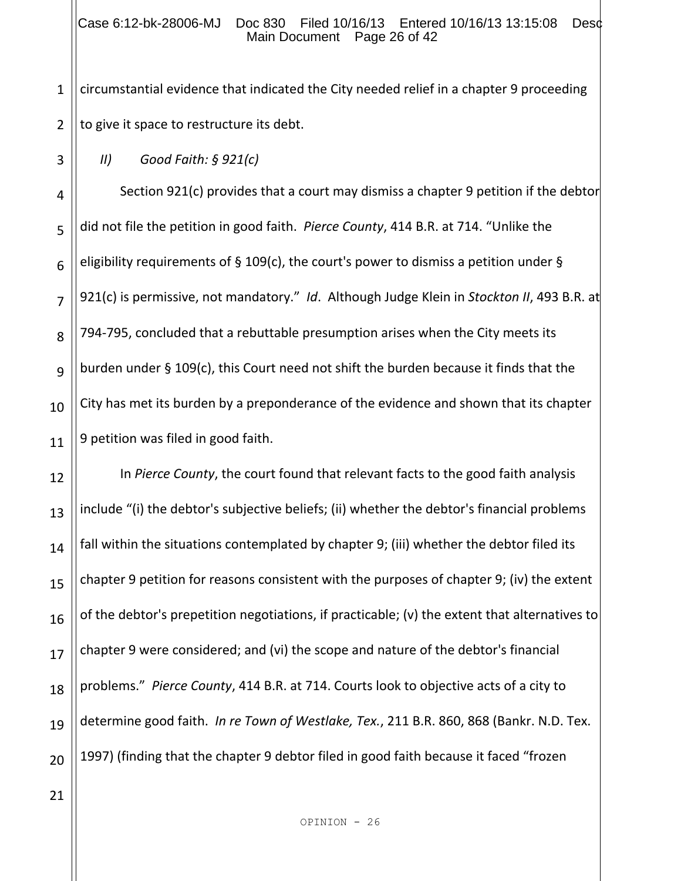#### Case 6:12-bk-28006-MJ Doc 830 Filed 10/16/13 Entered 10/16/13 13:15:08 Desc Main Document Page 26 of 42

1 2 circumstantial evidence that indicated the City needed relief in a chapter 9 proceeding to give it space to restructure its debt.

*II) Good Faith: § 921(c)*

3

4

5

6

7

8

9

10

11

Section 921(c) provides that a court may dismiss a chapter 9 petition if the debtor did not file the petition in good faith. *Pierce County*, 414 B.R. at 714. "Unlike the eligibility requirements of § 109(c), the court's power to dismiss a petition under § 921(c) is permissive, not mandatory." *Id*. Although Judge Klein in *Stockton II*, 493 B.R. at 794-795, concluded that a rebuttable presumption arises when the City meets its burden under § 109(c), this Court need not shift the burden because it finds that the City has met its burden by a preponderance of the evidence and shown that its chapter 9 petition was filed in good faith.

12 13 14 15 16 17 18 19 20 In *Pierce County*, the court found that relevant facts to the good faith analysis include "(i) the debtor's subjective beliefs; (ii) whether the debtor's financial problems fall within the situations contemplated by chapter 9; (iii) whether the debtor filed its chapter 9 petition for reasons consistent with the purposes of chapter 9; (iv) the extent of the debtor's prepetition negotiations, if practicable; (v) the extent that alternatives to chapter 9 were considered; and (vi) the scope and nature of the debtor's financial problems." *Pierce County*, 414 B.R. at 714. Courts look to objective acts of a city to determine good faith. *In re Town of Westlake, Tex.*, 211 B.R. 860, 868 (Bankr. N.D. Tex. 1997) (finding that the chapter 9 debtor filed in good faith because it faced "frozen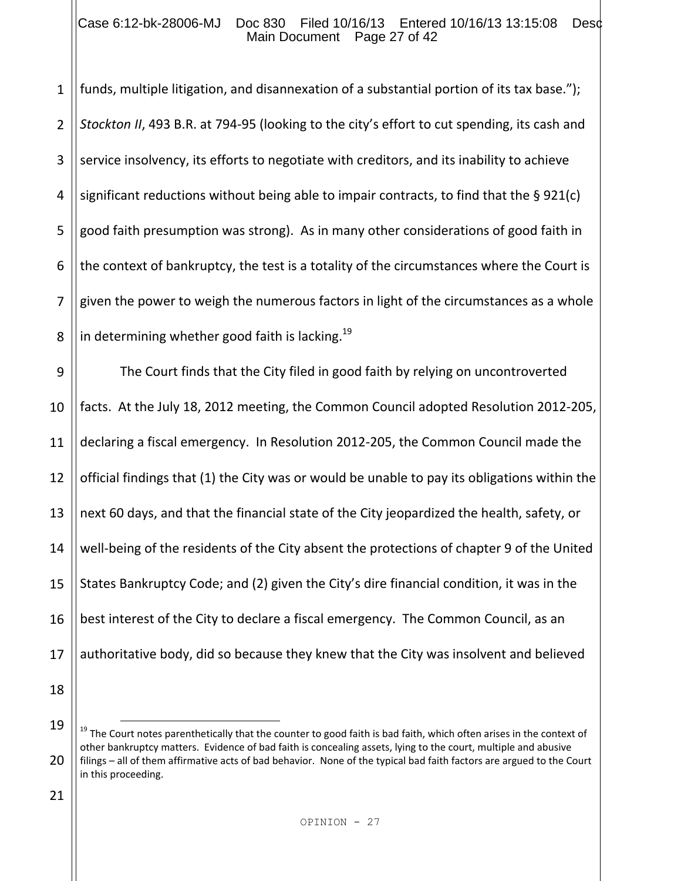#### Case 6:12-bk-28006-MJ Doc 830 Filed 10/16/13 Entered 10/16/13 13:15:08 Desc Main Document Page 27 of 42

1 2 3 4 5 6 7 8 funds, multiple litigation, and disannexation of a substantial portion of its tax base."); *Stockton II*, 493 B.R. at 794-95 (looking to the city's effort to cut spending, its cash and service insolvency, its efforts to negotiate with creditors, and its inability to achieve significant reductions without being able to impair contracts, to find that the § 921(c) good faith presumption was strong). As in many other considerations of good faith in the context of bankruptcy, the test is a totality of the circumstances where the Court is given the power to weigh the numerous factors in light of the circumstances as a whole in determining whether good faith is lacking.<sup>19</sup>

9 10 11 12 13 14 15 16 17 The Court finds that the City filed in good faith by relying on uncontroverted facts. At the July 18, 2012 meeting, the Common Council adopted Resolution 2012-205, declaring a fiscal emergency. In Resolution 2012-205, the Common Council made the official findings that (1) the City was or would be unable to pay its obligations within the next 60 days, and that the financial state of the City jeopardized the health, safety, or well-being of the residents of the City absent the protections of chapter 9 of the United States Bankruptcy Code; and (2) given the City's dire financial condition, it was in the best interest of the City to declare a fiscal emergency. The Common Council, as an authoritative body, did so because they knew that the City was insolvent and believed

18

i<br>L

<sup>19</sup>

 $19$  The Court notes parenthetically that the counter to good faith is bad faith, which often arises in the context of other bankruptcy matters. Evidence of bad faith is concealing assets, lying to the court, multiple and abusive filings – all of them affirmative acts of bad behavior. None of the typical bad faith factors are argued to the Court in this proceeding.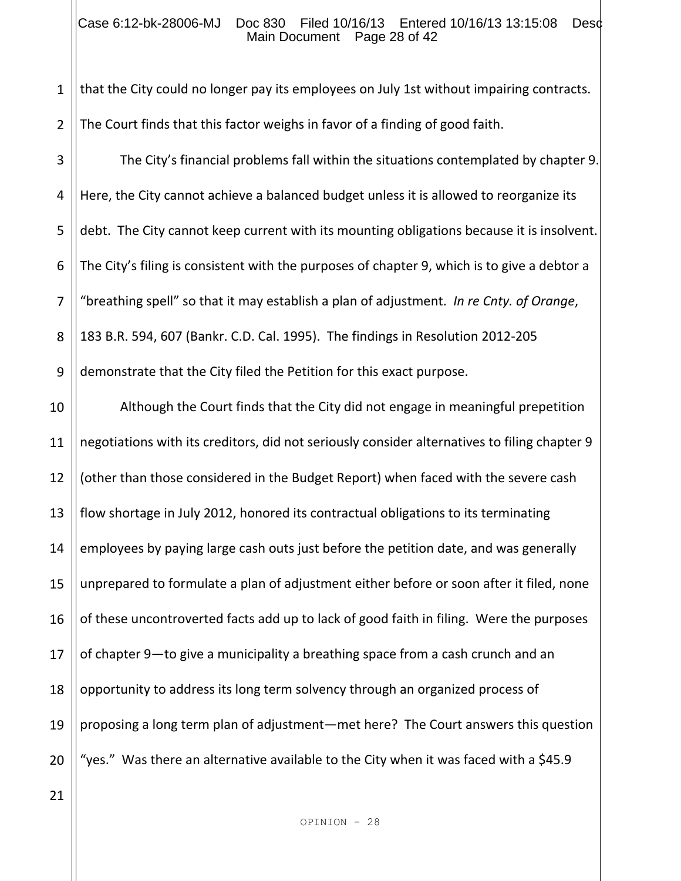#### Case 6:12-bk-28006-MJ Doc 830 Filed 10/16/13 Entered 10/16/13 13:15:08 Desd Main Document Page 28 of 42

1 2 that the City could no longer pay its employees on July 1st without impairing contracts. The Court finds that this factor weighs in favor of a finding of good faith.

3 4 5 6 7 8 9 The City's financial problems fall within the situations contemplated by chapter 9. Here, the City cannot achieve a balanced budget unless it is allowed to reorganize its debt. The City cannot keep current with its mounting obligations because it is insolvent. The City's filing is consistent with the purposes of chapter 9, which is to give a debtor a "breathing spell" so that it may establish a plan of adjustment. *In re Cnty. of Orange*, 183 B.R. 594, 607 (Bankr. C.D. Cal. 1995). The findings in Resolution 2012-205 demonstrate that the City filed the Petition for this exact purpose.

10 11 12 13 14 15 16 17 18 19 20 Although the Court finds that the City did not engage in meaningful prepetition negotiations with its creditors, did not seriously consider alternatives to filing chapter 9 (other than those considered in the Budget Report) when faced with the severe cash flow shortage in July 2012, honored its contractual obligations to its terminating employees by paying large cash outs just before the petition date, and was generally unprepared to formulate a plan of adjustment either before or soon after it filed, none of these uncontroverted facts add up to lack of good faith in filing. Were the purposes of chapter 9—to give a municipality a breathing space from a cash crunch and an opportunity to address its long term solvency through an organized process of proposing a long term plan of adjustment—met here? The Court answers this question "yes." Was there an alternative available to the City when it was faced with a \$45.9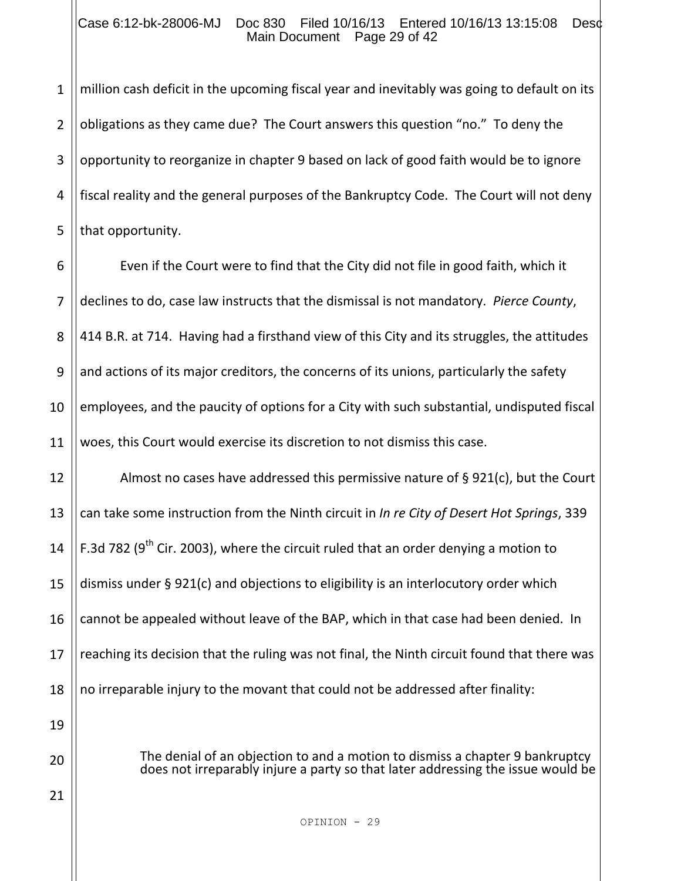#### Case 6:12-bk-28006-MJ Doc 830 Filed 10/16/13 Entered 10/16/13 13:15:08 Desc Main Document Page 29 of 42

1 2 3 4 5 million cash deficit in the upcoming fiscal year and inevitably was going to default on its obligations as they came due? The Court answers this question "no." To deny the opportunity to reorganize in chapter 9 based on lack of good faith would be to ignore fiscal reality and the general purposes of the Bankruptcy Code. The Court will not deny that opportunity.

6 7 8 9 10 11 Even if the Court were to find that the City did not file in good faith, which it declines to do, case law instructs that the dismissal is not mandatory. *Pierce County*, 414 B.R. at 714. Having had a firsthand view of this City and its struggles, the attitudes and actions of its major creditors, the concerns of its unions, particularly the safety employees, and the paucity of options for a City with such substantial, undisputed fiscal woes, this Court would exercise its discretion to not dismiss this case.

12 13 14 15 16 17 18 19 Almost no cases have addressed this permissive nature of § 921(c), but the Court can take some instruction from the Ninth circuit in *In re City of Desert Hot Springs*, 339 F.3d 782 ( $9<sup>th</sup>$  Cir. 2003), where the circuit ruled that an order denying a motion to dismiss under § 921(c) and objections to eligibility is an interlocutory order which cannot be appealed without leave of the BAP, which in that case had been denied. In reaching its decision that the ruling was not final, the Ninth circuit found that there was no irreparable injury to the movant that could not be addressed after finality:

> The denial of an objection to and a motion to dismiss a chapter 9 bankruptcy does not irreparably injure a party so that later addressing the issue would be

20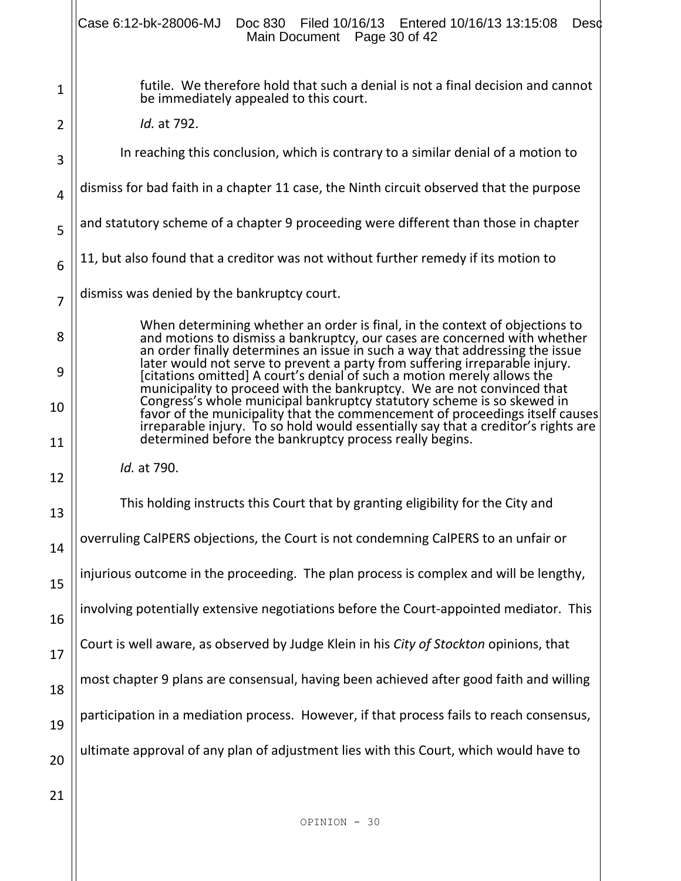|                | Case 6:12-bk-28006-MJ  Doc 830  Filed 10/16/13  Entered 10/16/13  13:15:08<br>Desc<br>Main Document Page 30 of 42                                                                                                                           |  |
|----------------|---------------------------------------------------------------------------------------------------------------------------------------------------------------------------------------------------------------------------------------------|--|
| $\mathbf 1$    | futile. We therefore hold that such a denial is not a final decision and cannot<br>be immediately appealed to this court.                                                                                                                   |  |
| $\overline{2}$ | Id. at 792.                                                                                                                                                                                                                                 |  |
| 3              | In reaching this conclusion, which is contrary to a similar denial of a motion to                                                                                                                                                           |  |
| 4              | dismiss for bad faith in a chapter 11 case, the Ninth circuit observed that the purpose                                                                                                                                                     |  |
| 5              | and statutory scheme of a chapter 9 proceeding were different than those in chapter                                                                                                                                                         |  |
| 6              | 11, but also found that a creditor was not without further remedy if its motion to                                                                                                                                                          |  |
| $\overline{7}$ | dismiss was denied by the bankruptcy court.                                                                                                                                                                                                 |  |
| 8              | When determining whether an order is final, in the context of objections to<br>and motions to dismiss a bankruptcy, our cases are concerned with whether<br>an order finally determines an issue in such a way that addressing the issue    |  |
| 9              | later would not serve to prevent a party from suffering irreparable injury.<br>[citations omitted] A court's denial of such a motion merely allows the<br>municipality to proceed with the bankruptcy. We are not convinced that            |  |
| 10             | Congress's whole municipal bankruptcy statutory scheme is so skewed in<br>favor of the municipality that the commencement of proceedings itself causes<br>irreparable injury. To so hold would essentially say that a creditor's rights are |  |
| 11             | determined before the bankruptcy process really begins.                                                                                                                                                                                     |  |
| 12             | Id. at 790.                                                                                                                                                                                                                                 |  |
| 13             | This holding instructs this Court that by granting eligibility for the City and                                                                                                                                                             |  |
| 14             | overruling CalPERS objections, the Court is not condemning CalPERS to an unfair or                                                                                                                                                          |  |
| 15             | injurious outcome in the proceeding. The plan process is complex and will be lengthy,                                                                                                                                                       |  |
| 16             | involving potentially extensive negotiations before the Court-appointed mediator. This                                                                                                                                                      |  |
| 17             | Court is well aware, as observed by Judge Klein in his City of Stockton opinions, that                                                                                                                                                      |  |
| 18             | most chapter 9 plans are consensual, having been achieved after good faith and willing                                                                                                                                                      |  |
| 19             | participation in a mediation process. However, if that process fails to reach consensus,                                                                                                                                                    |  |
| 20             | ultimate approval of any plan of adjustment lies with this Court, which would have to                                                                                                                                                       |  |
| 21             |                                                                                                                                                                                                                                             |  |
|                | OPINION - 30                                                                                                                                                                                                                                |  |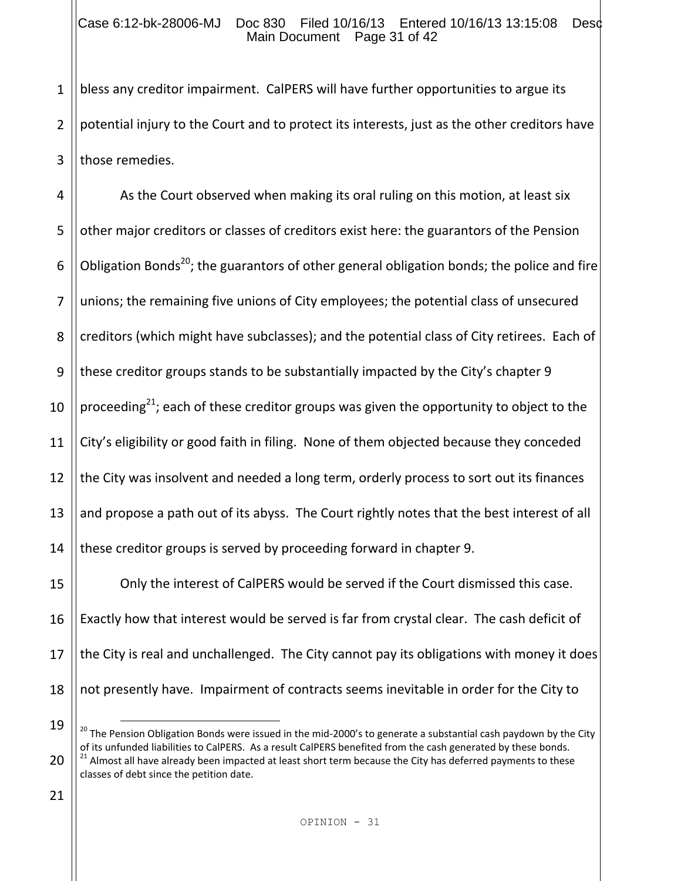1 2 3 bless any creditor impairment. CalPERS will have further opportunities to argue its potential injury to the Court and to protect its interests, just as the other creditors have those remedies.

4 5 6 7 8 9 10 11 12 13 14 15 16 17 As the Court observed when making its oral ruling on this motion, at least six other major creditors or classes of creditors exist here: the guarantors of the Pension Obligation Bonds<sup>20</sup>; the guarantors of other general obligation bonds; the police and fire unions; the remaining five unions of City employees; the potential class of unsecured creditors (which might have subclasses); and the potential class of City retirees. Each of these creditor groups stands to be substantially impacted by the City's chapter 9 proceeding $^{21}$ ; each of these creditor groups was given the opportunity to object to the City's eligibility or good faith in filing. None of them objected because they conceded the City was insolvent and needed a long term, orderly process to sort out its finances and propose a path out of its abyss. The Court rightly notes that the best interest of all these creditor groups is served by proceeding forward in chapter 9. Only the interest of CalPERS would be served if the Court dismissed this case. Exactly how that interest would be served is far from crystal clear. The cash deficit of the City is real and unchallenged. The City cannot pay its obligations with money it does

18

not presently have. Impairment of contracts seems inevitable in order for the City to

<sup>19</sup> 20 i<br>L <sup>20</sup> The Pension Obligation Bonds were issued in the mid-2000's to generate a substantial cash paydown by the City of its unfunded liabilities to CalPERS. As a result CalPERS benefited from the cash generated by these bonds. <sup>21</sup> Almost all have already been impacted at least short term because the City has deferred payments to these classes of debt since the petition date.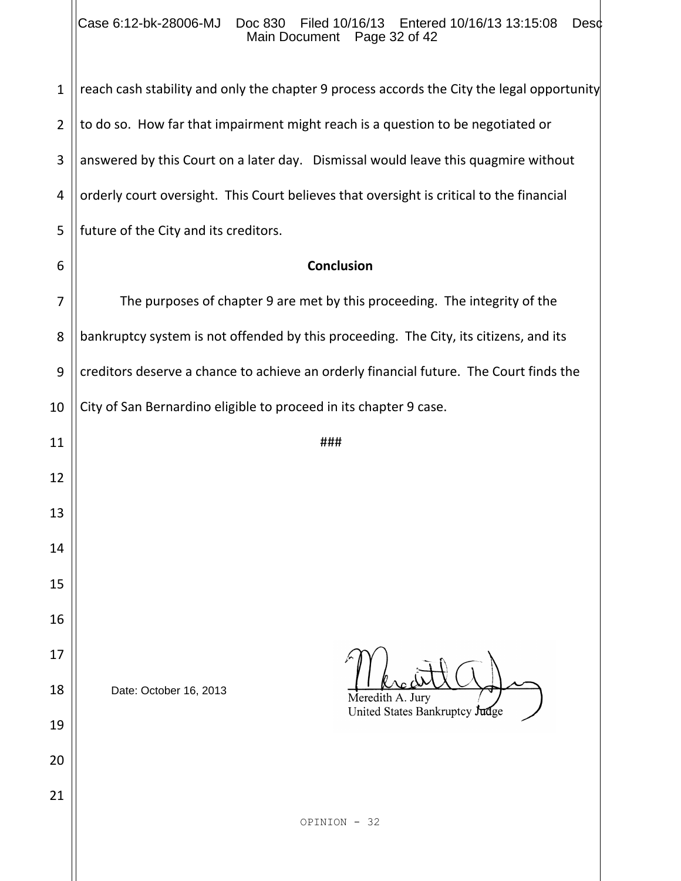### Case 6:12-bk-28006-MJ Doc 830 Filed 10/16/13 Entered 10/16/13 13:15:08 Desc Main Document Page 32 of 42

| $\mathbf{1}$   | reach cash stability and only the chapter 9 process accords the City the legal opportunity |  |  |  |  |  |
|----------------|--------------------------------------------------------------------------------------------|--|--|--|--|--|
| $\overline{2}$ | to do so. How far that impairment might reach is a question to be negotiated or            |  |  |  |  |  |
| 3              | answered by this Court on a later day. Dismissal would leave this quagmire without         |  |  |  |  |  |
| 4              | orderly court oversight. This Court believes that oversight is critical to the financial   |  |  |  |  |  |
| 5              | future of the City and its creditors.                                                      |  |  |  |  |  |
| 6              | <b>Conclusion</b>                                                                          |  |  |  |  |  |
| 7              | The purposes of chapter 9 are met by this proceeding. The integrity of the                 |  |  |  |  |  |
| 8              | bankruptcy system is not offended by this proceeding. The City, its citizens, and its      |  |  |  |  |  |
| 9              | creditors deserve a chance to achieve an orderly financial future. The Court finds the     |  |  |  |  |  |
| 10             | City of San Bernardino eligible to proceed in its chapter 9 case.                          |  |  |  |  |  |
| 11             | ###                                                                                        |  |  |  |  |  |
| 12             |                                                                                            |  |  |  |  |  |
| 13             |                                                                                            |  |  |  |  |  |
| 14             |                                                                                            |  |  |  |  |  |
| 15             |                                                                                            |  |  |  |  |  |
| 16             |                                                                                            |  |  |  |  |  |
| 17             |                                                                                            |  |  |  |  |  |
| 18             | Date: October 16, 2013<br>Meredith A. Jury                                                 |  |  |  |  |  |
| 19             | United States Bankruptcy Judge                                                             |  |  |  |  |  |
| 20             |                                                                                            |  |  |  |  |  |
| 21             |                                                                                            |  |  |  |  |  |
|                | OPINION - 32                                                                               |  |  |  |  |  |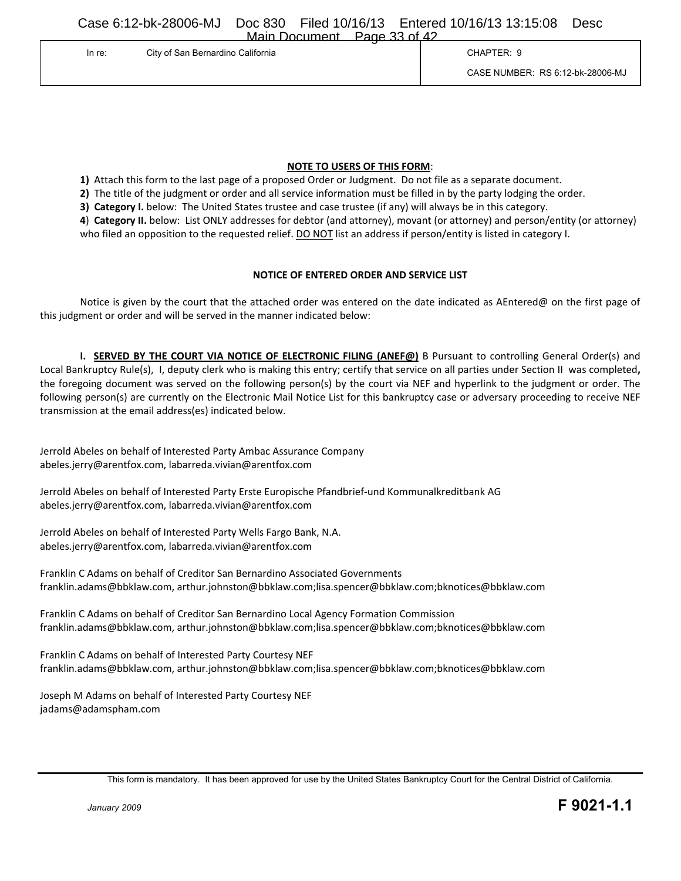Case 6:12-bk-28006-MJ Doc 830 Filed 10/16/13 Entered 10/16/13 13:15:08 Desc Main Document Page 33 of 42

| . <del>.</del> .<br>City of San Bernardino California<br>In re: | CHAPTER: 9                       |
|-----------------------------------------------------------------|----------------------------------|
|                                                                 | CASE NUMBER: RS 6:12-bk-28006-MJ |

#### **NOTE TO USERS OF THIS FORM**:

**1)** Attach this form to the last page of a proposed Order or Judgment. Do not file as a separate document.

**2)** The title of the judgment or order and all service information must be filled in by the party lodging the order.

**3) Category I.** below: The United States trustee and case trustee (if any) will always be in this category.

**4**) **Category II.** below: List ONLY addresses for debtor (and attorney), movant (or attorney) and person/entity (or attorney) who filed an opposition to the requested relief. DO NOT list an address if person/entity is listed in category I.

#### **NOTICE OF ENTERED ORDER AND SERVICE LIST**

Notice is given by the court that the attached order was entered on the date indicated as AEntered@ on the first page of this judgment or order and will be served in the manner indicated below:

**I. SERVED BY THE COURT VIA NOTICE OF ELECTRONIC FILING (ANEF@)** B Pursuant to controlling General Order(s) and Local Bankruptcy Rule(s), I, deputy clerk who is making this entry; certify that service on all parties under Section II was completed**,** the foregoing document was served on the following person(s) by the court via NEF and hyperlink to the judgment or order. The following person(s) are currently on the Electronic Mail Notice List for this bankruptcy case or adversary proceeding to receive NEF transmission at the email address(es) indicated below.

Jerrold Abeles on behalf of Interested Party Ambac Assurance Company abeles.jerry@arentfox.com, labarreda.vivian@arentfox.com

Jerrold Abeles on behalf of Interested Party Erste Europische Pfandbrief-und Kommunalkreditbank AG abeles.jerry@arentfox.com, labarreda.vivian@arentfox.com

Jerrold Abeles on behalf of Interested Party Wells Fargo Bank, N.A. abeles.jerry@arentfox.com, labarreda.vivian@arentfox.com

Franklin C Adams on behalf of Creditor San Bernardino Associated Governments franklin.adams@bbklaw.com, arthur.johnston@bbklaw.com;lisa.spencer@bbklaw.com;bknotices@bbklaw.com

Franklin C Adams on behalf of Creditor San Bernardino Local Agency Formation Commission franklin.adams@bbklaw.com, arthur.johnston@bbklaw.com;lisa.spencer@bbklaw.com;bknotices@bbklaw.com

Franklin C Adams on behalf of Interested Party Courtesy NEF franklin.adams@bbklaw.com, arthur.johnston@bbklaw.com;lisa.spencer@bbklaw.com;bknotices@bbklaw.com

Joseph M Adams on behalf of Interested Party Courtesy NEF jadams@adamspham.com

This form is mandatory. It has been approved for use by the United States Bankruptcy Court for the Central District of California.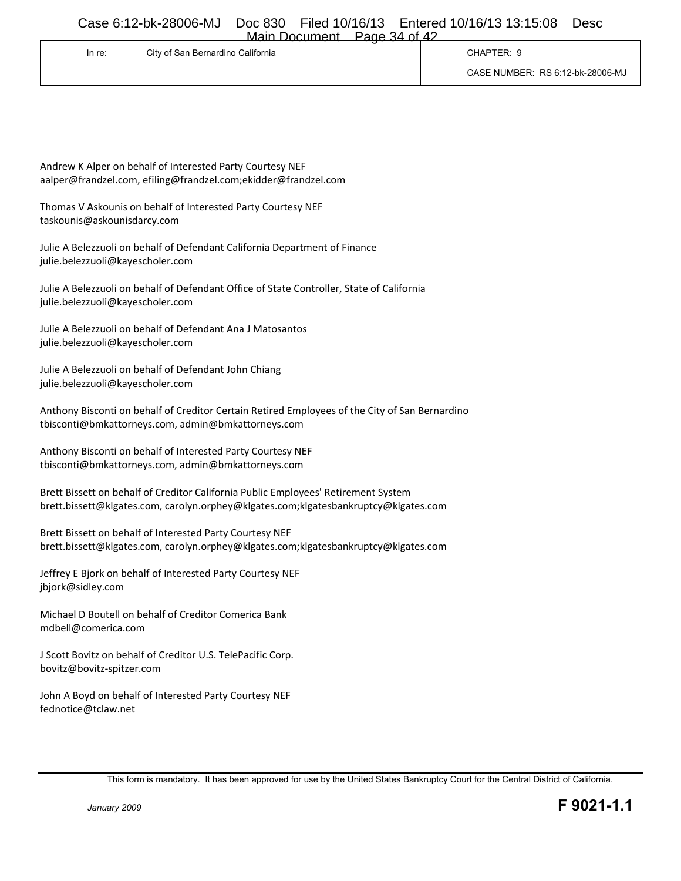Main Document Page 34 of 42

| In re: | City of San Bernardino California | CHAPTER: 9                       |
|--------|-----------------------------------|----------------------------------|
|        |                                   | CASE NUMBER: RS 6:12-bk-28006-MJ |

Andrew K Alper on behalf of Interested Party Courtesy NEF aalper@frandzel.com, efiling@frandzel.com;ekidder@frandzel.com

Thomas V Askounis on behalf of Interested Party Courtesy NEF taskounis@askounisdarcy.com

Julie A Belezzuoli on behalf of Defendant California Department of Finance julie.belezzuoli@kayescholer.com

Julie A Belezzuoli on behalf of Defendant Office of State Controller, State of California julie.belezzuoli@kayescholer.com

Julie A Belezzuoli on behalf of Defendant Ana J Matosantos julie.belezzuoli@kayescholer.com

Julie A Belezzuoli on behalf of Defendant John Chiang julie.belezzuoli@kayescholer.com

Anthony Bisconti on behalf of Creditor Certain Retired Employees of the City of San Bernardino tbisconti@bmkattorneys.com, admin@bmkattorneys.com

Anthony Bisconti on behalf of Interested Party Courtesy NEF tbisconti@bmkattorneys.com, admin@bmkattorneys.com

Brett Bissett on behalf of Creditor California Public Employees' Retirement System brett.bissett@klgates.com, carolyn.orphey@klgates.com;klgatesbankruptcy@klgates.com

Brett Bissett on behalf of Interested Party Courtesy NEF brett.bissett@klgates.com, carolyn.orphey@klgates.com;klgatesbankruptcy@klgates.com

Jeffrey E Bjork on behalf of Interested Party Courtesy NEF jbjork@sidley.com

Michael D Boutell on behalf of Creditor Comerica Bank mdbell@comerica.com

J Scott Bovitz on behalf of Creditor U.S. TelePacific Corp. bovitz@bovitz-spitzer.com

John A Boyd on behalf of Interested Party Courtesy NEF fednotice@tclaw.net

This form is mandatory. It has been approved for use by the United States Bankruptcy Court for the Central District of California.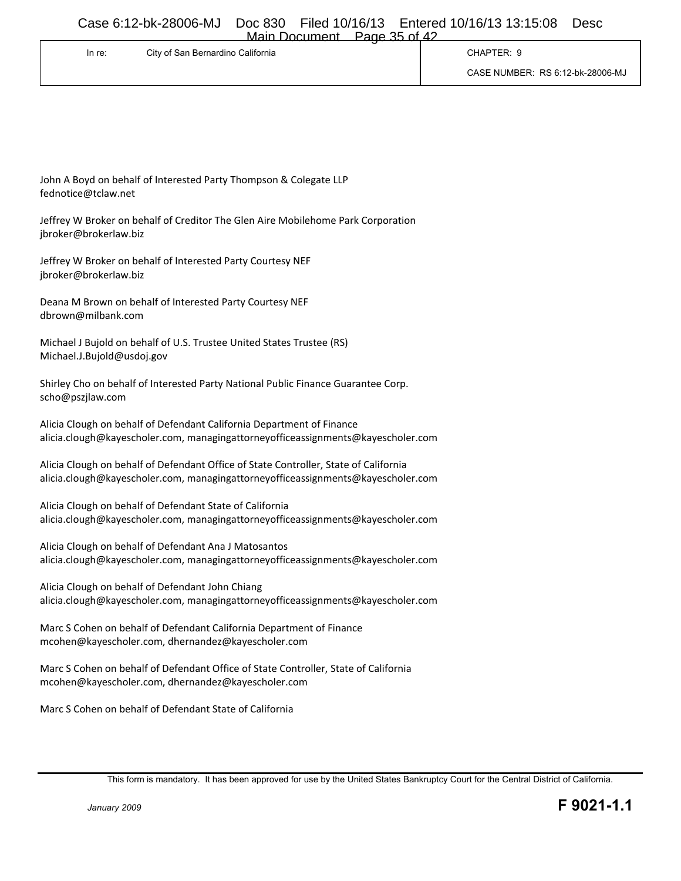| Main Document | Page 35 of 42 |  |
|---------------|---------------|--|
|               |               |  |

| In re: | City of San Bernardino California | CHAPTER: 9                       |
|--------|-----------------------------------|----------------------------------|
|        |                                   | CASE NUMBER: RS 6:12-bk-28006-MJ |

John A Boyd on behalf of Interested Party Thompson & Colegate LLP fednotice@tclaw.net

Jeffrey W Broker on behalf of Creditor The Glen Aire Mobilehome Park Corporation jbroker@brokerlaw.biz

Jeffrey W Broker on behalf of Interested Party Courtesy NEF jbroker@brokerlaw.biz

Deana M Brown on behalf of Interested Party Courtesy NEF dbrown@milbank.com

Michael J Bujold on behalf of U.S. Trustee United States Trustee (RS) Michael.J.Bujold@usdoj.gov

Shirley Cho on behalf of Interested Party National Public Finance Guarantee Corp. scho@pszjlaw.com

Alicia Clough on behalf of Defendant California Department of Finance alicia.clough@kayescholer.com, managingattorneyofficeassignments@kayescholer.com

Alicia Clough on behalf of Defendant Office of State Controller, State of California alicia.clough@kayescholer.com, managingattorneyofficeassignments@kayescholer.com

Alicia Clough on behalf of Defendant State of California alicia.clough@kayescholer.com, managingattorneyofficeassignments@kayescholer.com

Alicia Clough on behalf of Defendant Ana J Matosantos alicia.clough@kayescholer.com, managingattorneyofficeassignments@kayescholer.com

Alicia Clough on behalf of Defendant John Chiang alicia.clough@kayescholer.com, managingattorneyofficeassignments@kayescholer.com

Marc S Cohen on behalf of Defendant California Department of Finance mcohen@kayescholer.com, dhernandez@kayescholer.com

Marc S Cohen on behalf of Defendant Office of State Controller, State of California mcohen@kayescholer.com, dhernandez@kayescholer.com

Marc S Cohen on behalf of Defendant State of California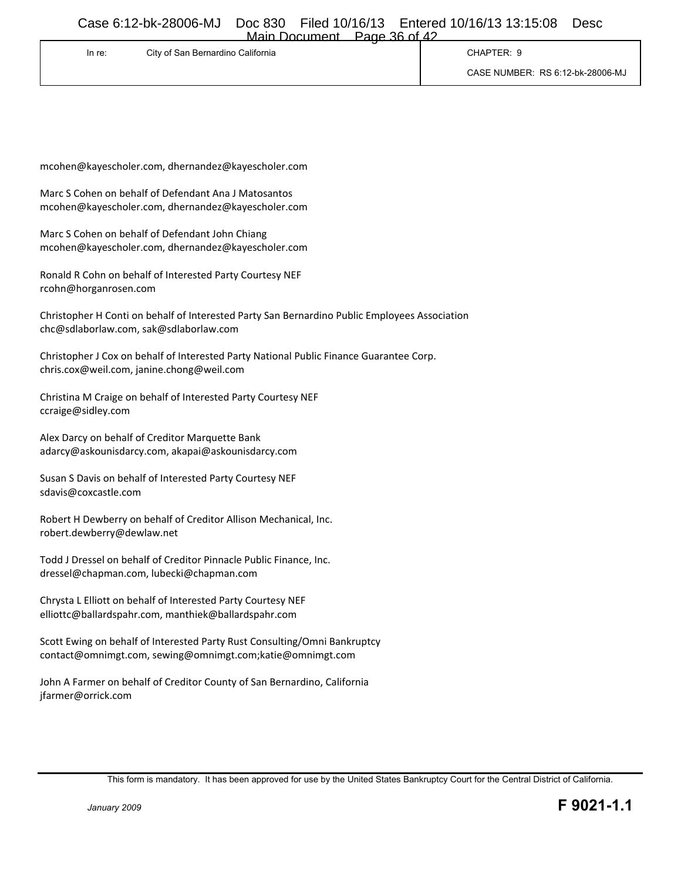| Main Document | Page 36 of 42 |  |
|---------------|---------------|--|
|               |               |  |

| In re: | City of San Bernardino California | CHAPTER: 9                       |
|--------|-----------------------------------|----------------------------------|
|        |                                   | CASE NUMBER: RS 6:12-bk-28006-MJ |

mcohen@kayescholer.com, dhernandez@kayescholer.com

Marc S Cohen on behalf of Defendant Ana J Matosantos mcohen@kayescholer.com, dhernandez@kayescholer.com

Marc S Cohen on behalf of Defendant John Chiang mcohen@kayescholer.com, dhernandez@kayescholer.com

Ronald R Cohn on behalf of Interested Party Courtesy NEF rcohn@horganrosen.com

Christopher H Conti on behalf of Interested Party San Bernardino Public Employees Association chc@sdlaborlaw.com, sak@sdlaborlaw.com

Christopher J Cox on behalf of Interested Party National Public Finance Guarantee Corp. chris.cox@weil.com, janine.chong@weil.com

Christina M Craige on behalf of Interested Party Courtesy NEF ccraige@sidley.com

Alex Darcy on behalf of Creditor Marquette Bank adarcy@askounisdarcy.com, akapai@askounisdarcy.com

Susan S Davis on behalf of Interested Party Courtesy NEF sdavis@coxcastle.com

Robert H Dewberry on behalf of Creditor Allison Mechanical, Inc. robert.dewberry@dewlaw.net

Todd J Dressel on behalf of Creditor Pinnacle Public Finance, Inc. dressel@chapman.com, lubecki@chapman.com

Chrysta L Elliott on behalf of Interested Party Courtesy NEF elliottc@ballardspahr.com, manthiek@ballardspahr.com

Scott Ewing on behalf of Interested Party Rust Consulting/Omni Bankruptcy contact@omnimgt.com, sewing@omnimgt.com;katie@omnimgt.com

John A Farmer on behalf of Creditor County of San Bernardino, California jfarmer@orrick.com

This form is mandatory. It has been approved for use by the United States Bankruptcy Court for the Central District of California.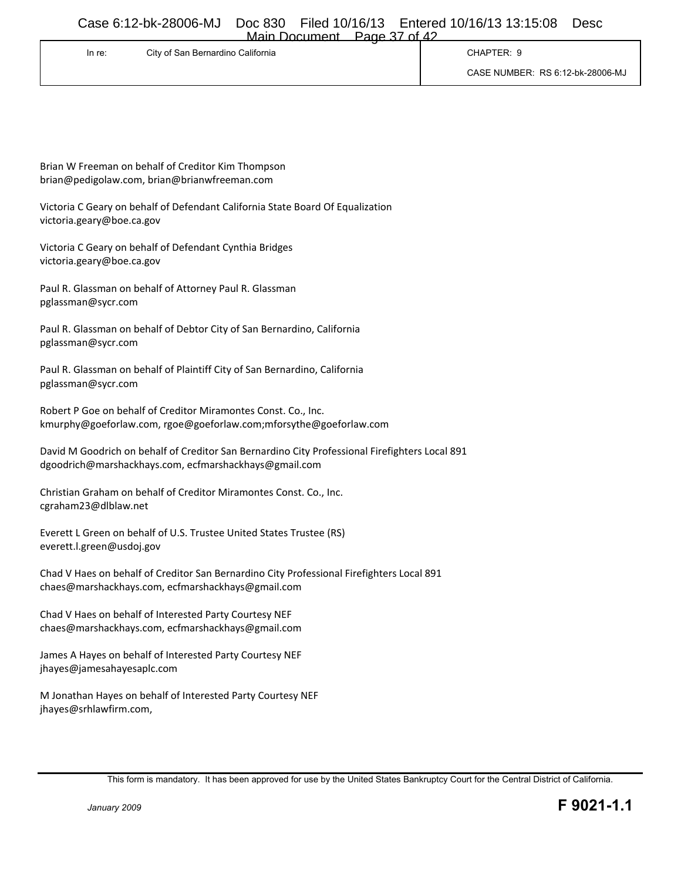| Main Document | Page 37 of 42 |  |
|---------------|---------------|--|
|               |               |  |

| In re: | City of San Bernardino California | CHAPTER: 9                       |
|--------|-----------------------------------|----------------------------------|
|        |                                   | CASE NUMBER: RS 6:12-bk-28006-MJ |

Brian W Freeman on behalf of Creditor Kim Thompson brian@pedigolaw.com, brian@brianwfreeman.com

Victoria C Geary on behalf of Defendant California State Board Of Equalization victoria.geary@boe.ca.gov

Victoria C Geary on behalf of Defendant Cynthia Bridges victoria.geary@boe.ca.gov

Paul R. Glassman on behalf of Attorney Paul R. Glassman pglassman@sycr.com

Paul R. Glassman on behalf of Debtor City of San Bernardino, California pglassman@sycr.com

Paul R. Glassman on behalf of Plaintiff City of San Bernardino, California pglassman@sycr.com

Robert P Goe on behalf of Creditor Miramontes Const. Co., Inc. kmurphy@goeforlaw.com, rgoe@goeforlaw.com;mforsythe@goeforlaw.com

David M Goodrich on behalf of Creditor San Bernardino City Professional Firefighters Local 891 dgoodrich@marshackhays.com, ecfmarshackhays@gmail.com

Christian Graham on behalf of Creditor Miramontes Const. Co., Inc. cgraham23@dlblaw.net

Everett L Green on behalf of U.S. Trustee United States Trustee (RS) everett.l.green@usdoj.gov

Chad V Haes on behalf of Creditor San Bernardino City Professional Firefighters Local 891 chaes@marshackhays.com, ecfmarshackhays@gmail.com

Chad V Haes on behalf of Interested Party Courtesy NEF chaes@marshackhays.com, ecfmarshackhays@gmail.com

James A Hayes on behalf of Interested Party Courtesy NEF jhayes@jamesahayesaplc.com

M Jonathan Hayes on behalf of Interested Party Courtesy NEF jhayes@srhlawfirm.com,

This form is mandatory. It has been approved for use by the United States Bankruptcy Court for the Central District of California.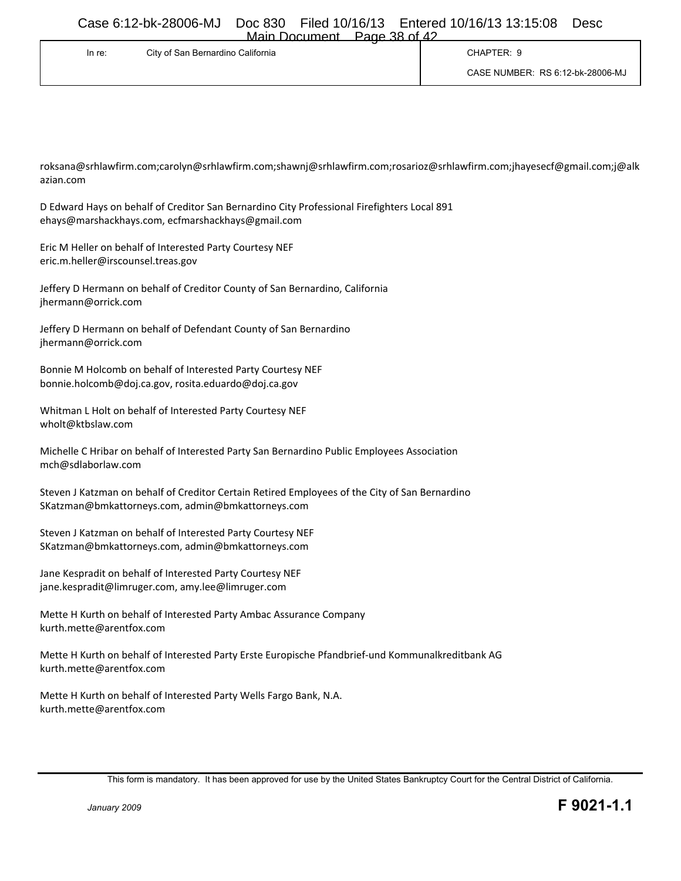|        |                                   | F GUIT. . )O UI 47 |                                  |
|--------|-----------------------------------|--------------------|----------------------------------|
| In re: | City of San Bernardino California |                    | CHAPTER: 9                       |
|        |                                   |                    | CASE NUMBER: RS 6:12-bk-28006-MJ |

roksana@srhlawfirm.com;carolyn@srhlawfirm.com;shawnj@srhlawfirm.com;rosarioz@srhlawfirm.com;jhayesecf@gmail.com;j@alk azian.com

D Edward Hays on behalf of Creditor San Bernardino City Professional Firefighters Local 891 ehays@marshackhays.com, ecfmarshackhays@gmail.com

Eric M Heller on behalf of Interested Party Courtesy NEF eric.m.heller@irscounsel.treas.gov

Jeffery D Hermann on behalf of Creditor County of San Bernardino, California jhermann@orrick.com

Jeffery D Hermann on behalf of Defendant County of San Bernardino jhermann@orrick.com

Bonnie M Holcomb on behalf of Interested Party Courtesy NEF bonnie.holcomb@doj.ca.gov, rosita.eduardo@doj.ca.gov

Whitman L Holt on behalf of Interested Party Courtesy NEF wholt@ktbslaw.com

Michelle C Hribar on behalf of Interested Party San Bernardino Public Employees Association mch@sdlaborlaw.com

Steven J Katzman on behalf of Creditor Certain Retired Employees of the City of San Bernardino SKatzman@bmkattorneys.com, admin@bmkattorneys.com

Steven J Katzman on behalf of Interested Party Courtesy NEF SKatzman@bmkattorneys.com, admin@bmkattorneys.com

Jane Kespradit on behalf of Interested Party Courtesy NEF jane.kespradit@limruger.com, amy.lee@limruger.com

Mette H Kurth on behalf of Interested Party Ambac Assurance Company kurth.mette@arentfox.com

Mette H Kurth on behalf of Interested Party Erste Europische Pfandbrief-und Kommunalkreditbank AG kurth.mette@arentfox.com

Mette H Kurth on behalf of Interested Party Wells Fargo Bank, N.A. kurth.mette@arentfox.com

This form is mandatory. It has been approved for use by the United States Bankruptcy Court for the Central District of California.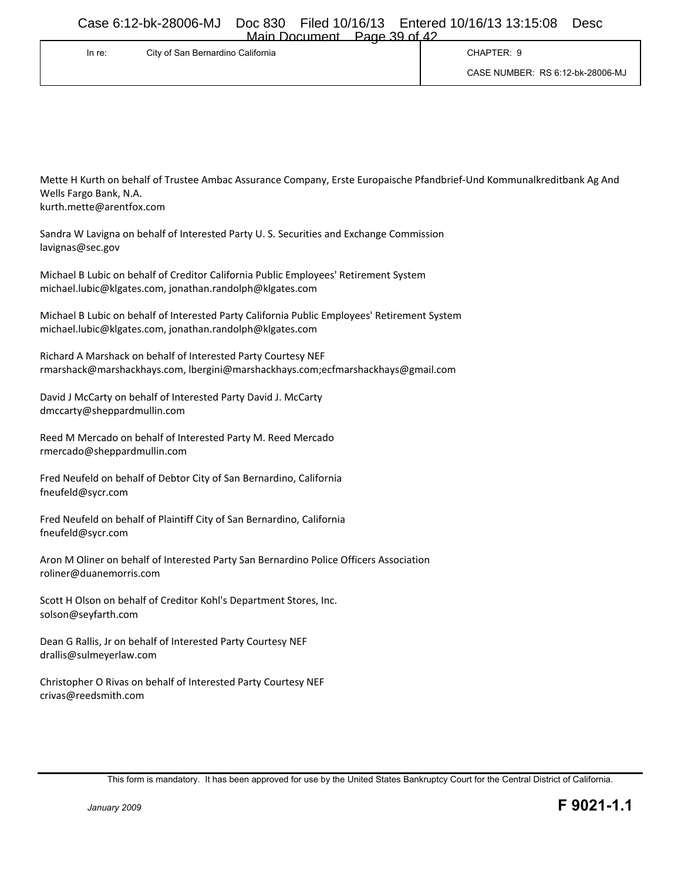| Main Document | Page 39 of 42 |
|---------------|---------------|
|               |               |

| In re: | City of San Bernardino California | CHAPTER: 9                       |
|--------|-----------------------------------|----------------------------------|
|        |                                   | CASE NUMBER: RS 6:12-bk-28006-MJ |

Mette H Kurth on behalf of Trustee Ambac Assurance Company, Erste Europaische Pfandbrief-Und Kommunalkreditbank Ag And Wells Fargo Bank, N.A. kurth.mette@arentfox.com

Sandra W Lavigna on behalf of Interested Party U. S. Securities and Exchange Commission lavignas@sec.gov

Michael B Lubic on behalf of Creditor California Public Employees' Retirement System michael.lubic@klgates.com, jonathan.randolph@klgates.com

Michael B Lubic on behalf of Interested Party California Public Employees' Retirement System michael.lubic@klgates.com, jonathan.randolph@klgates.com

Richard A Marshack on behalf of Interested Party Courtesy NEF rmarshack@marshackhays.com, lbergini@marshackhays.com;ecfmarshackhays@gmail.com

David J McCarty on behalf of Interested Party David J. McCarty dmccarty@sheppardmullin.com

Reed M Mercado on behalf of Interested Party M. Reed Mercado rmercado@sheppardmullin.com

Fred Neufeld on behalf of Debtor City of San Bernardino, California fneufeld@sycr.com

Fred Neufeld on behalf of Plaintiff City of San Bernardino, California fneufeld@sycr.com

Aron M Oliner on behalf of Interested Party San Bernardino Police Officers Association roliner@duanemorris.com

Scott H Olson on behalf of Creditor Kohl's Department Stores, Inc. solson@seyfarth.com

Dean G Rallis, Jr on behalf of Interested Party Courtesy NEF drallis@sulmeyerlaw.com

Christopher O Rivas on behalf of Interested Party Courtesy NEF crivas@reedsmith.com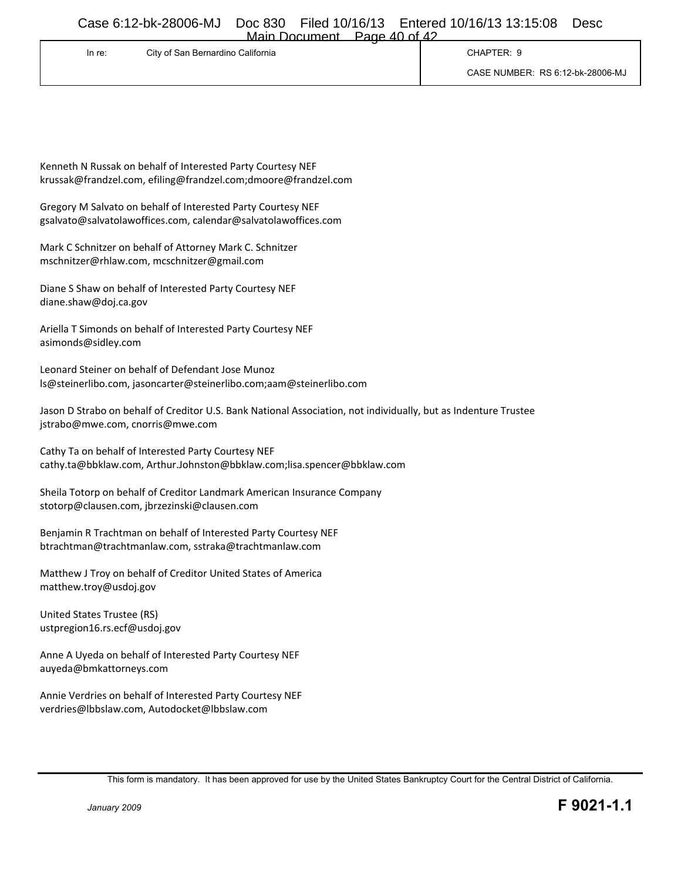| Main Document | Page $40$ of $42$ |  |
|---------------|-------------------|--|
|               |                   |  |

| In re: | -<br>City of San Bernardino California | CHAPTER: 9                       |
|--------|----------------------------------------|----------------------------------|
|        |                                        | CASE NUMBER: RS 6:12-bk-28006-MJ |

Kenneth N Russak on behalf of Interested Party Courtesy NEF krussak@frandzel.com, efiling@frandzel.com;dmoore@frandzel.com

Gregory M Salvato on behalf of Interested Party Courtesy NEF gsalvato@salvatolawoffices.com, calendar@salvatolawoffices.com

Mark C Schnitzer on behalf of Attorney Mark C. Schnitzer mschnitzer@rhlaw.com, mcschnitzer@gmail.com

Diane S Shaw on behalf of Interested Party Courtesy NEF diane.shaw@doj.ca.gov

Ariella T Simonds on behalf of Interested Party Courtesy NEF asimonds@sidley.com

Leonard Steiner on behalf of Defendant Jose Munoz ls@steinerlibo.com, jasoncarter@steinerlibo.com;aam@steinerlibo.com

Jason D Strabo on behalf of Creditor U.S. Bank National Association, not individually, but as Indenture Trustee jstrabo@mwe.com, cnorris@mwe.com

Cathy Ta on behalf of Interested Party Courtesy NEF cathy.ta@bbklaw.com, Arthur.Johnston@bbklaw.com;lisa.spencer@bbklaw.com

Sheila Totorp on behalf of Creditor Landmark American Insurance Company stotorp@clausen.com, jbrzezinski@clausen.com

Benjamin R Trachtman on behalf of Interested Party Courtesy NEF btrachtman@trachtmanlaw.com, sstraka@trachtmanlaw.com

Matthew J Troy on behalf of Creditor United States of America matthew.troy@usdoj.gov

United States Trustee (RS) ustpregion16.rs.ecf@usdoj.gov

Anne A Uyeda on behalf of Interested Party Courtesy NEF auyeda@bmkattorneys.com

Annie Verdries on behalf of Interested Party Courtesy NEF verdries@lbbslaw.com, Autodocket@lbbslaw.com

This form is mandatory. It has been approved for use by the United States Bankruptcy Court for the Central District of California.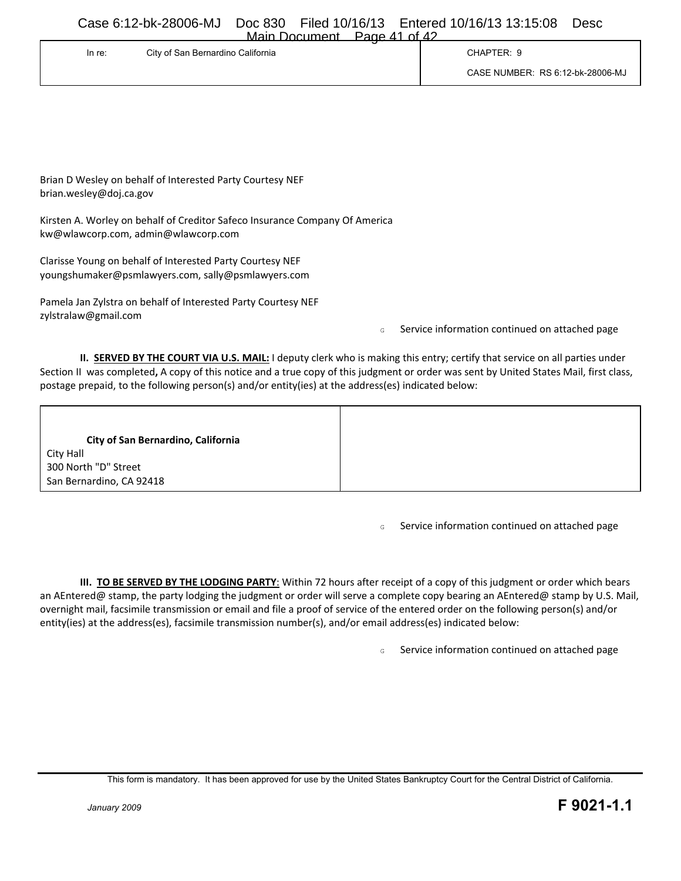| Main Document | Page 41 of 42 |  |
|---------------|---------------|--|
|               |               |  |

| In re: | City of San Bernardino California | CHAPTER: 0                       |
|--------|-----------------------------------|----------------------------------|
|        |                                   | CASE NUMBER: RS 6:12-bk-28006-MJ |

Brian D Wesley on behalf of Interested Party Courtesy NEF brian.wesley@doj.ca.gov

Kirsten A. Worley on behalf of Creditor Safeco Insurance Company Of America kw@wlawcorp.com, admin@wlawcorp.com

Clarisse Young on behalf of Interested Party Courtesy NEF youngshumaker@psmlawyers.com, sally@psmlawyers.com

Pamela Jan Zylstra on behalf of Interested Party Courtesy NEF zylstralaw@gmail.com

<sup>G</sup> Service information continued on attached page

**II. SERVED BY THE COURT VIA U.S. MAIL:** I deputy clerk who is making this entry; certify that service on all parties under Section II was completed**,** A copy of this notice and a true copy of this judgment or order was sent by United States Mail, first class, postage prepaid, to the following person(s) and/or entity(ies) at the address(es) indicated below:

**City of San Bernardino, California** City Hall 300 North "D" Street San Bernardino, CA 92418

<sup>G</sup> Service information continued on attached page

**III. TO BE SERVED BY THE LODGING PARTY**: Within 72 hours after receipt of a copy of this judgment or order which bears an AEntered@ stamp, the party lodging the judgment or order will serve a complete copy bearing an AEntered@ stamp by U.S. Mail, overnight mail, facsimile transmission or email and file a proof of service of the entered order on the following person(s) and/or entity(ies) at the address(es), facsimile transmission number(s), and/or email address(es) indicated below:

<sup>G</sup> Service information continued on attached page